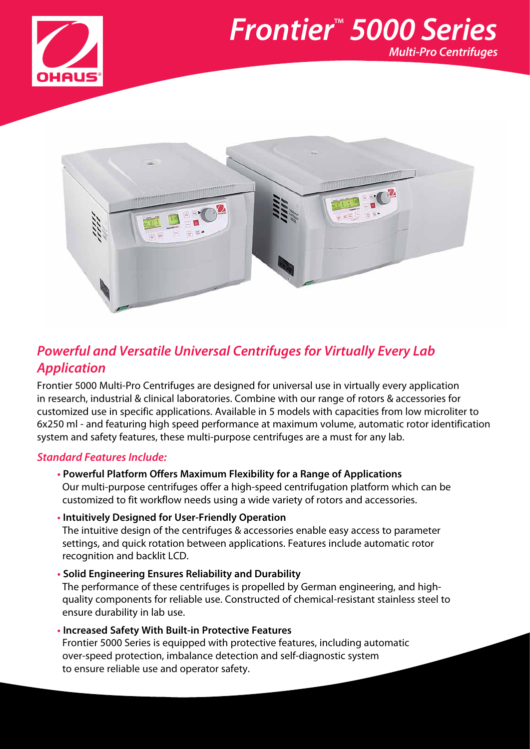

## *Frontier*™  *5000 Series Multi-Pro Centrifuges*



### *Powerful and Versatile Universal Centrifuges for Virtually Every Lab Application*

Frontier 5000 Multi-Pro Centrifuges are designed for universal use in virtually every application in research, industrial & clinical laboratories. Combine with our range of rotors & accessories for customized use in specific applications. Available in 5 models with capacities from low microliter to 6x250 ml - and featuring high speed performance at maximum volume, automatic rotor identification system and safety features, these multi-purpose centrifuges are a must for any lab.

### *Standard Features Include:*

- **• Powerful Platform Offers Maximum Flexibility for a Range of Applications** Our multi-purpose centrifuges offer a high-speed centrifugation platform which can be customized to fit workflow needs using a wide variety of rotors and accessories.
- **• Intuitively Designed for User-Friendly Operation** The intuitive design of the centrifuges & accessories enable easy access to parameter settings, and quick rotation between applications. Features include automatic rotor recognition and backlit LCD.
- **• Solid Engineering Ensures Reliability and Durability** The performance of these centrifuges is propelled by German engineering, and highquality components for reliable use. Constructed of chemical-resistant stainless steel to ensure durability in lab use.
- **• Increased Safety With Built-in Protective Features** Frontier 5000 Series is equipped with protective features, including automatic over-speed protection, imbalance detection and self-diagnostic system to ensure reliable use and operator safety.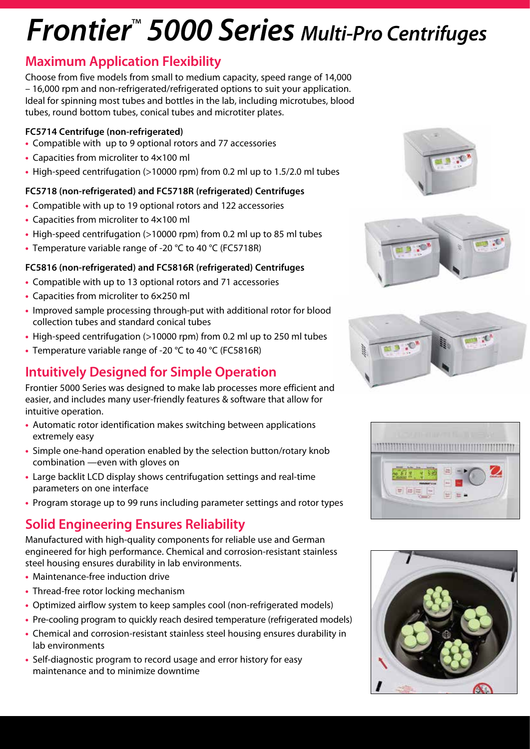# *Frontier*™  *5000 Series Multi-Pro Centrifuges*

### **Maximum Application Flexibility**

Choose from five models from small to medium capacity, speed range of 14,000 – 16,000 rpm and non-refrigerated/refrigerated options to suit your application. Ideal for spinning most tubes and bottles in the lab, including microtubes, blood tubes, round bottom tubes, conical tubes and microtiter plates.

#### **FC5714 Centrifuge (non-refrigerated)**

- **•** Compatible with up to 9 optional rotors and 77 accessories
- **•** Capacities from microliter to 4**×**100 ml
- **•** High-speed centrifugation (>10000 rpm) from 0.2 ml up to 1.5/2.0 ml tubes

### **FC5718 (non-refrigerated) and FC5718R (refrigerated) Centrifuges**

- **•** Compatible with up to 19 optional rotors and 122 accessories
- **•** Capacities from microliter to 4**×**100 ml
- **•** High-speed centrifugation (>10000 rpm) from 0.2 ml up to 85 ml tubes
- **•** Temperature variable range of -20 °C to 40 °C (FC5718R)

### **FC5816 (non-refrigerated) and FC5816R (refrigerated) Centrifuges**

- **•** Compatible with up to 13 optional rotors and 71 accessories
- **•** Capacities from microliter to 6**×**250 ml
- **•** Improved sample processing through-put with additional rotor for blood collection tubes and standard conical tubes
- **•** High-speed centrifugation (>10000 rpm) from 0.2 ml up to 250 ml tubes
- **•** Temperature variable range of -20 °C to 40 °C (FC5816R)

## **Intuitively Designed for Simple Operation**

Frontier 5000 Series was designed to make lab processes more efficient and easier, and includes many user-friendly features & software that allow for intuitive operation.

- **•** Automatic rotor identification makes switching between applications extremely easy
- **•** Simple one-hand operation enabled by the selection button/rotary knob combination —even with gloves on
- **•** Large backlit LCD display shows centrifugation settings and real-time parameters on one interface
- **•** Program storage up to 99 runs including parameter settings and rotor types

## **Solid Engineering Ensures Reliability**

Manufactured with high-quality components for reliable use and German engineered for high performance. Chemical and corrosion-resistant stainless steel housing ensures durability in lab environments.

- **•** Maintenance-free induction drive
- **•** Thread-free rotor locking mechanism
- **•** Optimized airflow system to keep samples cool (non-refrigerated models)
- Pre-cooling program to quickly reach desired temperature (refrigerated models)
- **•** Chemical and corrosion-resistant stainless steel housing ensures durability in lab environments
- **•** Self-diagnostic program to record usage and error history for easy maintenance and to minimize downtime









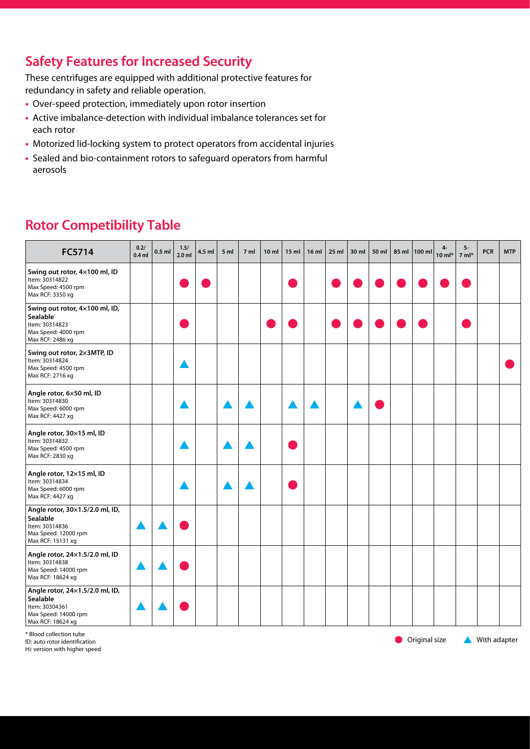## **Safety Features for Increased Security**

These centrifuges are equipped with additional protective features for redundancy in safety and reliable operation.

- **•** Over-speed protection, immediately upon rotor insertion
- **•** Active imbalance-detection with individual imbalance tolerances set for each rotor
- **•** Motorized lid-locking system to protect operators from accidental injuries
- **•** Sealed and bio-containment rotors to safeguard operators from harmful aerosols

| FC5714                                                                                                     | 0.2/<br>$0.4$ ml | $0.5$ ml | 1.5/<br>2.0 <sub>m</sub> | 4.5 ml | 5 <sub>m</sub> | 7 <sub>m</sub> | 10 <sub>m</sub> | 15 <sub>m</sub> | 16 <sub>ml</sub> | $25$ ml | 30 ml | 50 ml | 85 ml 100 ml | $4-$<br>$10$ ml* | 5-<br>$7 ml*$ | <b>PCR</b> | <b>MTP</b> |
|------------------------------------------------------------------------------------------------------------|------------------|----------|--------------------------|--------|----------------|----------------|-----------------|-----------------|------------------|---------|-------|-------|--------------|------------------|---------------|------------|------------|
| Swing out rotor, 4×100 ml, ID<br>Item: 30314822<br>Max Speed: 4500 rpm<br>Max RCF: 3350 xg                 |                  |          |                          |        |                |                |                 |                 |                  |         |       |       |              |                  |               |            |            |
| Swing out rotor, 4x100 ml, ID,<br>Sealable<br>Item: 30314823<br>Max Speed: 4000 rpm<br>Max RCF: 2486 xg    |                  |          |                          |        |                |                |                 |                 |                  |         |       |       |              |                  |               |            |            |
| Swing out rotor, 2x3MTP, ID<br>Item: 30314824<br>Max Speed: 4500 rpm<br>Max RCF: 2716 xg                   |                  |          |                          |        |                |                |                 |                 |                  |         |       |       |              |                  |               |            |            |
| Angle rotor, 6×50 ml, ID<br>Item: 30314830<br>Max Speed: 6000 rpm<br>Max RCF: 4427 xg                      |                  |          |                          |        |                |                |                 |                 |                  |         |       |       |              |                  |               |            |            |
| Angle rotor, 30×15 ml, ID<br>Item: 30314832<br>Max Speed: 4500 rpm<br>Max RCF: 2830 xg                     |                  |          |                          |        |                |                |                 |                 |                  |         |       |       |              |                  |               |            |            |
| Angle rotor, 12×15 ml, ID<br>Item: 30314834<br>Max Speed: 6000 rpm<br>Max RCF: 4427 xg                     |                  |          |                          |        |                |                |                 |                 |                  |         |       |       |              |                  |               |            |            |
| Angle rotor, 30×1.5/2.0 ml, ID,<br>Sealable<br>Item: 30314836<br>Max Speed: 12000 rpm<br>Max RCF: 15131 xg |                  |          |                          |        |                |                |                 |                 |                  |         |       |       |              |                  |               |            |            |
| Angle rotor, 24×1.5/2.0 ml, ID<br>Item: 30314838<br>Max Speed: 14000 rpm<br>Max RCF: 18624 xg              |                  |          |                          |        |                |                |                 |                 |                  |         |       |       |              |                  |               |            |            |
| Angle rotor, 24×1.5/2.0 ml, ID,<br>Sealable<br>Item: 30304361<br>Max Speed: 14000 rpm<br>Max RCF: 18624 xg |                  |          |                          |        |                |                |                 |                 |                  |         |       |       |              |                  |               |            |            |

### **Rotor Competibility Table**

\* Blood collection tube

ID: auto rotor identification

Hi: version with higher speed

 $\bullet$  Original size  $\bullet$  With adapter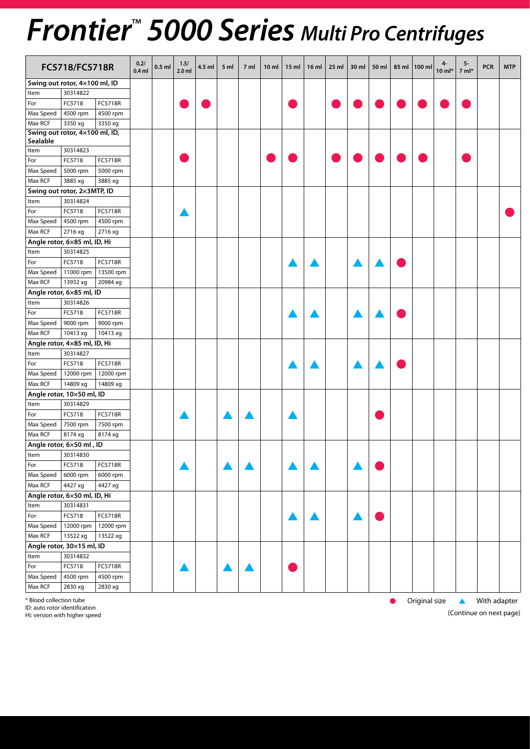## *Frontier*™  *5000 Series Multi Pro Centrifuges*

|           | FC5718/FC5718R                 |           | 0.2/<br>$0.4$ ml | $0.5$ ml | 1.5/<br>$2.0$ ml | 4.5 ml | 5 <sub>m</sub> | 7 ml | 10 <sub>m</sub> | 15 <sub>m</sub> | 16 <sub>m</sub> | 25 ml | 30 ml | 50 ml | 85 ml | $ 100 \text{ ml}$ | 4-<br>$10$ m $\mathsf{I}^*$ | $5-$<br>$7 ml*$ | <b>PCR</b> | <b>MTP</b> |
|-----------|--------------------------------|-----------|------------------|----------|------------------|--------|----------------|------|-----------------|-----------------|-----------------|-------|-------|-------|-------|-------------------|-----------------------------|-----------------|------------|------------|
|           | Swing out rotor, 4×100 ml, ID  |           |                  |          |                  |        |                |      |                 |                 |                 |       |       |       |       |                   |                             |                 |            |            |
| Item      | 30314822                       |           |                  |          |                  |        |                |      |                 |                 |                 |       |       |       |       |                   |                             |                 |            |            |
| For       | FC5718                         | FC5718R   |                  |          |                  |        |                |      |                 |                 |                 |       |       |       |       |                   |                             |                 |            |            |
| Max Speed | 4500 rpm                       | 4500 rpm  |                  |          |                  |        |                |      |                 |                 |                 |       |       |       |       |                   |                             |                 |            |            |
| Max RCF   | 3350 xg                        | 3350 xg   |                  |          |                  |        |                |      |                 |                 |                 |       |       |       |       |                   |                             |                 |            |            |
|           | Swing out rotor, 4×100 ml, ID, |           |                  |          |                  |        |                |      |                 |                 |                 |       |       |       |       |                   |                             |                 |            |            |
| Sealable  |                                |           |                  |          |                  |        |                |      |                 |                 |                 |       |       |       |       |                   |                             |                 |            |            |
| Item      | 30314823                       |           |                  |          |                  |        |                |      |                 |                 |                 |       |       |       |       |                   |                             |                 |            |            |
| For       | FC5718                         | FC5718R   |                  |          |                  |        |                |      |                 |                 |                 |       |       |       |       |                   |                             |                 |            |            |
| Max Speed | 5000 rpm                       | 5000 rpm  |                  |          |                  |        |                |      |                 |                 |                 |       |       |       |       |                   |                             |                 |            |            |
| Max RCF   | 3885 xg                        | 3885 xg   |                  |          |                  |        |                |      |                 |                 |                 |       |       |       |       |                   |                             |                 |            |            |
|           | Swing out rotor, 2x3MTP, ID    |           |                  |          |                  |        |                |      |                 |                 |                 |       |       |       |       |                   |                             |                 |            |            |
| Item      | 30314824                       |           |                  |          |                  |        |                |      |                 |                 |                 |       |       |       |       |                   |                             |                 |            |            |
| For       | FC5718                         | FC5718R   |                  |          |                  |        |                |      |                 |                 |                 |       |       |       |       |                   |                             |                 |            |            |
| Max Speed | 4500 rpm                       | 4500 rpm  |                  |          |                  |        |                |      |                 |                 |                 |       |       |       |       |                   |                             |                 |            |            |
| Max RCF   | 2716 xg                        | 2716 xg   |                  |          |                  |        |                |      |                 |                 |                 |       |       |       |       |                   |                             |                 |            |            |
|           | Angle rotor, 6x85 ml, ID, Hi   |           |                  |          |                  |        |                |      |                 |                 |                 |       |       |       |       |                   |                             |                 |            |            |
| Item      | 30314825                       |           |                  |          |                  |        |                |      |                 |                 |                 |       |       |       |       |                   |                             |                 |            |            |
| For       | FC5718                         | FC5718R   |                  |          |                  |        |                |      |                 |                 |                 |       |       |       |       |                   |                             |                 |            |            |
| Max Speed | 11000 rpm                      | 13500 rpm |                  |          |                  |        |                |      |                 |                 |                 |       |       |       |       |                   |                             |                 |            |            |
| Max RCF   | 13932 xg                       | 20984 xg  |                  |          |                  |        |                |      |                 |                 |                 |       |       |       |       |                   |                             |                 |            |            |
|           | Angle rotor, 6x85 ml, ID       |           |                  |          |                  |        |                |      |                 |                 |                 |       |       |       |       |                   |                             |                 |            |            |
| Item      | 30314826                       |           |                  |          |                  |        |                |      |                 |                 |                 |       |       |       |       |                   |                             |                 |            |            |
| For       | FC5718                         | FC5718R   |                  |          |                  |        |                |      |                 |                 |                 |       |       |       |       |                   |                             |                 |            |            |
| Max Speed | 9000 rpm                       | 9000 rpm  |                  |          |                  |        |                |      |                 |                 |                 |       |       |       |       |                   |                             |                 |            |            |
| Max RCF   | 10413 xg                       | 10413 xg  |                  |          |                  |        |                |      |                 |                 |                 |       |       |       |       |                   |                             |                 |            |            |
|           | Angle rotor, 4x85 ml, ID, Hi   |           |                  |          |                  |        |                |      |                 |                 |                 |       |       |       |       |                   |                             |                 |            |            |
| Item      | 30314827                       |           |                  |          |                  |        |                |      |                 |                 |                 |       |       |       |       |                   |                             |                 |            |            |
| For       | FC5718                         | FC5718R   |                  |          |                  |        |                |      |                 |                 |                 |       |       |       |       |                   |                             |                 |            |            |
| Max Speed | 12000 rpm                      | 12000 rpm |                  |          |                  |        |                |      |                 |                 |                 |       |       |       |       |                   |                             |                 |            |            |
| Max RCF   | 14809 xg                       | 14809 xg  |                  |          |                  |        |                |      |                 |                 |                 |       |       |       |       |                   |                             |                 |            |            |
|           | Angle rotor, 10×50 ml, ID      |           |                  |          |                  |        |                |      |                 |                 |                 |       |       |       |       |                   |                             |                 |            |            |
| Item      | 30314829                       |           |                  |          |                  |        |                |      |                 |                 |                 |       |       |       |       |                   |                             |                 |            |            |
| For       | FC5718                         | FC5718R   |                  |          |                  |        |                |      |                 |                 |                 |       |       |       |       |                   |                             |                 |            |            |
| Max Speed | 7500 rpm                       | 7500 rpm  |                  |          |                  |        |                |      |                 |                 |                 |       |       |       |       |                   |                             |                 |            |            |
| Max RCF   | 8174 xg                        | 8174 xg   |                  |          |                  |        |                |      |                 |                 |                 |       |       |       |       |                   |                             |                 |            |            |
|           | Angle rotor, 6x50 ml, ID       |           |                  |          |                  |        |                |      |                 |                 |                 |       |       |       |       |                   |                             |                 |            |            |
| Item      | $\sqrt{30314830}$              |           |                  |          |                  |        |                |      |                 |                 |                 |       |       |       |       |                   |                             |                 |            |            |
| For       | FC5718                         | FC5718R   |                  |          |                  |        |                |      |                 |                 |                 |       |       |       |       |                   |                             |                 |            |            |
| Max Speed | $6000$ rpm                     | 6000 rpm  |                  |          |                  |        |                |      |                 |                 |                 |       |       |       |       |                   |                             |                 |            |            |
| Max RCF   | 4427 xg                        | $4427$ xg |                  |          |                  |        |                |      |                 |                 |                 |       |       |       |       |                   |                             |                 |            |            |
|           | Angle rotor, 6×50 ml, ID, Hi   |           |                  |          |                  |        |                |      |                 |                 |                 |       |       |       |       |                   |                             |                 |            |            |
| Item      | 30314831                       |           |                  |          |                  |        |                |      |                 |                 |                 |       |       |       |       |                   |                             |                 |            |            |
| For       | FC5718                         | FC5718R   |                  |          |                  |        |                |      |                 |                 |                 |       |       |       |       |                   |                             |                 |            |            |
| Max Speed | 12000 rpm                      | 12000 rpm |                  |          |                  |        |                |      |                 |                 |                 |       |       |       |       |                   |                             |                 |            |            |
| Max RCF   | 13522 xg                       | 13522 xg  |                  |          |                  |        |                |      |                 |                 |                 |       |       |       |       |                   |                             |                 |            |            |
|           | Angle rotor, 30×15 ml, ID      |           |                  |          |                  |        |                |      |                 |                 |                 |       |       |       |       |                   |                             |                 |            |            |
| Item      | 30314832                       |           |                  |          |                  |        |                |      |                 |                 |                 |       |       |       |       |                   |                             |                 |            |            |
| For       | FC5718                         | FC5718R   |                  |          |                  |        |                |      |                 |                 |                 |       |       |       |       |                   |                             |                 |            |            |
| Max Speed | 4500 rpm                       | 4500 rpm  |                  |          |                  |        |                |      |                 |                 |                 |       |       |       |       |                   |                             |                 |            |            |
| Max RCF   | 2830 xg                        | 2830 xg   |                  |          |                  |        |                |      |                 |                 |                 |       |       |       |       |                   |                             |                 |            |            |
|           |                                |           |                  |          |                  |        |                |      |                 |                 |                 |       |       |       |       |                   |                             |                 |            |            |

\* Blood collection tube l Original size s With adapter

ID: auto rotor identification Hi: version with higher speed (Continue on next page)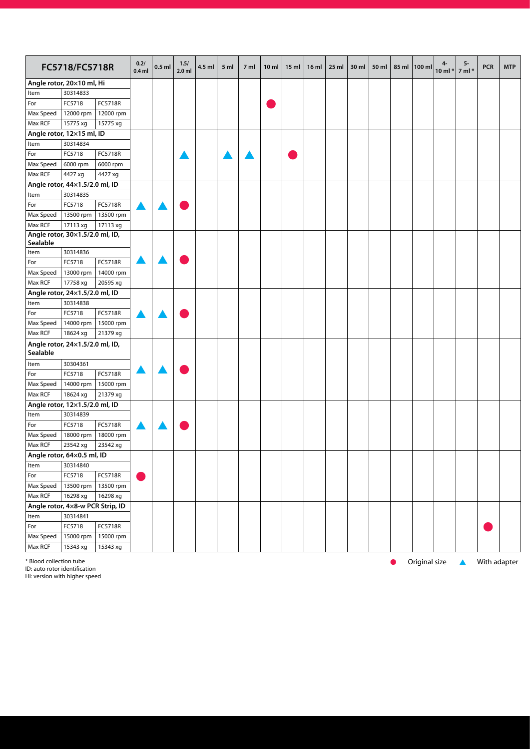| Angle rotor, 20×10 ml, Hi<br>30314833<br>Item<br>FC5718<br>FC5718R<br>For<br>Max Speed<br>12000 rpm<br>12000 rpm<br>Max RCF<br>15775 xg<br>15775 xg<br>Angle rotor, 12×15 ml, ID<br>30314834<br>Item<br>FC5718<br>FC5718R<br>For<br>Max Speed<br>6000 rpm<br>6000 rpm<br>Max RCF<br>4427 xg<br>4427 xg<br>Angle rotor, 44×1.5/2.0 ml, ID<br>30314835<br>Item<br>For<br>FC5718<br>FC5718R<br>Max Speed<br>13500 rpm<br>13500 rpm<br>Max RCF<br>17113 xg<br>17113 xg<br>Angle rotor, 30×1.5/2.0 ml, ID,<br>Sealable<br>30314836<br>Item<br>FC5718<br><b>FC5718R</b><br>For<br>Max Speed<br>13000 rpm<br>14000 rpm<br>Max RCF<br>17758 xg<br>20595 xg<br>Angle rotor, 24x1.5/2.0 ml, ID<br>30314838<br>Item<br>FC5718R<br>For<br>FC5718<br>Max Speed<br>14000 rpm<br>15000 rpm<br>Max RCF<br>18624 xg<br>21379 xg<br>Angle rotor, 24×1.5/2.0 ml, ID,<br>Sealable<br>30304361<br>Item<br>FC5718<br>FC5718R<br>For<br>Max Speed<br>14000 rpm<br>15000 rpm<br>Max RCF<br>18624 xg<br>21379 xg<br>Angle rotor, 12×1.5/2.0 ml, ID<br>Item<br>30314839<br>For<br>FC5718<br>FC5718R<br>Max Speed<br>18000 rpm<br>18000 rpm<br>Max RCF<br>23542 xg<br>23542 xg<br>Angle rotor, 64x0.5 ml, ID<br>30314840<br>Item<br>FC5718<br>FC5718R<br>For<br>Max Speed<br>13500 rpm<br>13500 rpm<br>Max RCF<br>$16298 \text{ xg}$<br>16298 xg<br>Angle rotor, 4x8-w PCR Strip, ID<br>30314841<br>Item<br>For<br>FC5718<br>FC5718R<br>Max Speed<br>15000 rpm<br>15000 rpm |         | FC5718/FC5718R |          | 0.2/<br>$0.4$ ml | $0.5$ ml | 1.5/<br>$2.0$ ml | 4.5 ml | 5 ml | 7 ml | 10 <sub>m</sub> | 15 <sub>m</sub> | 16 <sub>m</sub> | $25$ ml | 30 ml | 50 ml | 85 ml | 100 ml | 4-<br>$10$ ml $*$ | 5-<br>$7$ ml $*$ | <b>PCR</b> | <b>MTP</b> |
|--------------------------------------------------------------------------------------------------------------------------------------------------------------------------------------------------------------------------------------------------------------------------------------------------------------------------------------------------------------------------------------------------------------------------------------------------------------------------------------------------------------------------------------------------------------------------------------------------------------------------------------------------------------------------------------------------------------------------------------------------------------------------------------------------------------------------------------------------------------------------------------------------------------------------------------------------------------------------------------------------------------------------------------------------------------------------------------------------------------------------------------------------------------------------------------------------------------------------------------------------------------------------------------------------------------------------------------------------------------------------------------------------------------------------------------------------|---------|----------------|----------|------------------|----------|------------------|--------|------|------|-----------------|-----------------|-----------------|---------|-------|-------|-------|--------|-------------------|------------------|------------|------------|
|                                                                                                                                                                                                                                                                                                                                                                                                                                                                                                                                                                                                                                                                                                                                                                                                                                                                                                                                                                                                                                                                                                                                                                                                                                                                                                                                                                                                                                                  |         |                |          |                  |          |                  |        |      |      |                 |                 |                 |         |       |       |       |        |                   |                  |            |            |
|                                                                                                                                                                                                                                                                                                                                                                                                                                                                                                                                                                                                                                                                                                                                                                                                                                                                                                                                                                                                                                                                                                                                                                                                                                                                                                                                                                                                                                                  |         |                |          |                  |          |                  |        |      |      |                 |                 |                 |         |       |       |       |        |                   |                  |            |            |
|                                                                                                                                                                                                                                                                                                                                                                                                                                                                                                                                                                                                                                                                                                                                                                                                                                                                                                                                                                                                                                                                                                                                                                                                                                                                                                                                                                                                                                                  |         |                |          |                  |          |                  |        |      |      |                 |                 |                 |         |       |       |       |        |                   |                  |            |            |
|                                                                                                                                                                                                                                                                                                                                                                                                                                                                                                                                                                                                                                                                                                                                                                                                                                                                                                                                                                                                                                                                                                                                                                                                                                                                                                                                                                                                                                                  |         |                |          |                  |          |                  |        |      |      |                 |                 |                 |         |       |       |       |        |                   |                  |            |            |
|                                                                                                                                                                                                                                                                                                                                                                                                                                                                                                                                                                                                                                                                                                                                                                                                                                                                                                                                                                                                                                                                                                                                                                                                                                                                                                                                                                                                                                                  |         |                |          |                  |          |                  |        |      |      |                 |                 |                 |         |       |       |       |        |                   |                  |            |            |
|                                                                                                                                                                                                                                                                                                                                                                                                                                                                                                                                                                                                                                                                                                                                                                                                                                                                                                                                                                                                                                                                                                                                                                                                                                                                                                                                                                                                                                                  |         |                |          |                  |          |                  |        |      |      |                 |                 |                 |         |       |       |       |        |                   |                  |            |            |
|                                                                                                                                                                                                                                                                                                                                                                                                                                                                                                                                                                                                                                                                                                                                                                                                                                                                                                                                                                                                                                                                                                                                                                                                                                                                                                                                                                                                                                                  |         |                |          |                  |          |                  |        |      |      |                 |                 |                 |         |       |       |       |        |                   |                  |            |            |
|                                                                                                                                                                                                                                                                                                                                                                                                                                                                                                                                                                                                                                                                                                                                                                                                                                                                                                                                                                                                                                                                                                                                                                                                                                                                                                                                                                                                                                                  |         |                |          |                  |          |                  |        |      |      |                 |                 |                 |         |       |       |       |        |                   |                  |            |            |
|                                                                                                                                                                                                                                                                                                                                                                                                                                                                                                                                                                                                                                                                                                                                                                                                                                                                                                                                                                                                                                                                                                                                                                                                                                                                                                                                                                                                                                                  |         |                |          |                  |          |                  |        |      |      |                 |                 |                 |         |       |       |       |        |                   |                  |            |            |
|                                                                                                                                                                                                                                                                                                                                                                                                                                                                                                                                                                                                                                                                                                                                                                                                                                                                                                                                                                                                                                                                                                                                                                                                                                                                                                                                                                                                                                                  |         |                |          |                  |          |                  |        |      |      |                 |                 |                 |         |       |       |       |        |                   |                  |            |            |
|                                                                                                                                                                                                                                                                                                                                                                                                                                                                                                                                                                                                                                                                                                                                                                                                                                                                                                                                                                                                                                                                                                                                                                                                                                                                                                                                                                                                                                                  |         |                |          |                  |          |                  |        |      |      |                 |                 |                 |         |       |       |       |        |                   |                  |            |            |
|                                                                                                                                                                                                                                                                                                                                                                                                                                                                                                                                                                                                                                                                                                                                                                                                                                                                                                                                                                                                                                                                                                                                                                                                                                                                                                                                                                                                                                                  |         |                |          |                  |          |                  |        |      |      |                 |                 |                 |         |       |       |       |        |                   |                  |            |            |
|                                                                                                                                                                                                                                                                                                                                                                                                                                                                                                                                                                                                                                                                                                                                                                                                                                                                                                                                                                                                                                                                                                                                                                                                                                                                                                                                                                                                                                                  |         |                |          |                  |          |                  |        |      |      |                 |                 |                 |         |       |       |       |        |                   |                  |            |            |
|                                                                                                                                                                                                                                                                                                                                                                                                                                                                                                                                                                                                                                                                                                                                                                                                                                                                                                                                                                                                                                                                                                                                                                                                                                                                                                                                                                                                                                                  |         |                |          |                  |          |                  |        |      |      |                 |                 |                 |         |       |       |       |        |                   |                  |            |            |
|                                                                                                                                                                                                                                                                                                                                                                                                                                                                                                                                                                                                                                                                                                                                                                                                                                                                                                                                                                                                                                                                                                                                                                                                                                                                                                                                                                                                                                                  |         |                |          |                  |          |                  |        |      |      |                 |                 |                 |         |       |       |       |        |                   |                  |            |            |
|                                                                                                                                                                                                                                                                                                                                                                                                                                                                                                                                                                                                                                                                                                                                                                                                                                                                                                                                                                                                                                                                                                                                                                                                                                                                                                                                                                                                                                                  |         |                |          |                  |          |                  |        |      |      |                 |                 |                 |         |       |       |       |        |                   |                  |            |            |
|                                                                                                                                                                                                                                                                                                                                                                                                                                                                                                                                                                                                                                                                                                                                                                                                                                                                                                                                                                                                                                                                                                                                                                                                                                                                                                                                                                                                                                                  |         |                |          |                  |          |                  |        |      |      |                 |                 |                 |         |       |       |       |        |                   |                  |            |            |
|                                                                                                                                                                                                                                                                                                                                                                                                                                                                                                                                                                                                                                                                                                                                                                                                                                                                                                                                                                                                                                                                                                                                                                                                                                                                                                                                                                                                                                                  |         |                |          |                  |          |                  |        |      |      |                 |                 |                 |         |       |       |       |        |                   |                  |            |            |
|                                                                                                                                                                                                                                                                                                                                                                                                                                                                                                                                                                                                                                                                                                                                                                                                                                                                                                                                                                                                                                                                                                                                                                                                                                                                                                                                                                                                                                                  |         |                |          |                  |          |                  |        |      |      |                 |                 |                 |         |       |       |       |        |                   |                  |            |            |
|                                                                                                                                                                                                                                                                                                                                                                                                                                                                                                                                                                                                                                                                                                                                                                                                                                                                                                                                                                                                                                                                                                                                                                                                                                                                                                                                                                                                                                                  |         |                |          |                  |          |                  |        |      |      |                 |                 |                 |         |       |       |       |        |                   |                  |            |            |
|                                                                                                                                                                                                                                                                                                                                                                                                                                                                                                                                                                                                                                                                                                                                                                                                                                                                                                                                                                                                                                                                                                                                                                                                                                                                                                                                                                                                                                                  |         |                |          |                  |          |                  |        |      |      |                 |                 |                 |         |       |       |       |        |                   |                  |            |            |
|                                                                                                                                                                                                                                                                                                                                                                                                                                                                                                                                                                                                                                                                                                                                                                                                                                                                                                                                                                                                                                                                                                                                                                                                                                                                                                                                                                                                                                                  |         |                |          |                  |          |                  |        |      |      |                 |                 |                 |         |       |       |       |        |                   |                  |            |            |
|                                                                                                                                                                                                                                                                                                                                                                                                                                                                                                                                                                                                                                                                                                                                                                                                                                                                                                                                                                                                                                                                                                                                                                                                                                                                                                                                                                                                                                                  |         |                |          |                  |          |                  |        |      |      |                 |                 |                 |         |       |       |       |        |                   |                  |            |            |
|                                                                                                                                                                                                                                                                                                                                                                                                                                                                                                                                                                                                                                                                                                                                                                                                                                                                                                                                                                                                                                                                                                                                                                                                                                                                                                                                                                                                                                                  |         |                |          |                  |          |                  |        |      |      |                 |                 |                 |         |       |       |       |        |                   |                  |            |            |
|                                                                                                                                                                                                                                                                                                                                                                                                                                                                                                                                                                                                                                                                                                                                                                                                                                                                                                                                                                                                                                                                                                                                                                                                                                                                                                                                                                                                                                                  |         |                |          |                  |          |                  |        |      |      |                 |                 |                 |         |       |       |       |        |                   |                  |            |            |
|                                                                                                                                                                                                                                                                                                                                                                                                                                                                                                                                                                                                                                                                                                                                                                                                                                                                                                                                                                                                                                                                                                                                                                                                                                                                                                                                                                                                                                                  |         |                |          |                  |          |                  |        |      |      |                 |                 |                 |         |       |       |       |        |                   |                  |            |            |
|                                                                                                                                                                                                                                                                                                                                                                                                                                                                                                                                                                                                                                                                                                                                                                                                                                                                                                                                                                                                                                                                                                                                                                                                                                                                                                                                                                                                                                                  |         |                |          |                  |          |                  |        |      |      |                 |                 |                 |         |       |       |       |        |                   |                  |            |            |
|                                                                                                                                                                                                                                                                                                                                                                                                                                                                                                                                                                                                                                                                                                                                                                                                                                                                                                                                                                                                                                                                                                                                                                                                                                                                                                                                                                                                                                                  |         |                |          |                  |          |                  |        |      |      |                 |                 |                 |         |       |       |       |        |                   |                  |            |            |
|                                                                                                                                                                                                                                                                                                                                                                                                                                                                                                                                                                                                                                                                                                                                                                                                                                                                                                                                                                                                                                                                                                                                                                                                                                                                                                                                                                                                                                                  |         |                |          |                  |          |                  |        |      |      |                 |                 |                 |         |       |       |       |        |                   |                  |            |            |
|                                                                                                                                                                                                                                                                                                                                                                                                                                                                                                                                                                                                                                                                                                                                                                                                                                                                                                                                                                                                                                                                                                                                                                                                                                                                                                                                                                                                                                                  |         |                |          |                  |          |                  |        |      |      |                 |                 |                 |         |       |       |       |        |                   |                  |            |            |
|                                                                                                                                                                                                                                                                                                                                                                                                                                                                                                                                                                                                                                                                                                                                                                                                                                                                                                                                                                                                                                                                                                                                                                                                                                                                                                                                                                                                                                                  |         |                |          |                  |          |                  |        |      |      |                 |                 |                 |         |       |       |       |        |                   |                  |            |            |
|                                                                                                                                                                                                                                                                                                                                                                                                                                                                                                                                                                                                                                                                                                                                                                                                                                                                                                                                                                                                                                                                                                                                                                                                                                                                                                                                                                                                                                                  |         |                |          |                  |          |                  |        |      |      |                 |                 |                 |         |       |       |       |        |                   |                  |            |            |
|                                                                                                                                                                                                                                                                                                                                                                                                                                                                                                                                                                                                                                                                                                                                                                                                                                                                                                                                                                                                                                                                                                                                                                                                                                                                                                                                                                                                                                                  |         |                |          |                  |          |                  |        |      |      |                 |                 |                 |         |       |       |       |        |                   |                  |            |            |
|                                                                                                                                                                                                                                                                                                                                                                                                                                                                                                                                                                                                                                                                                                                                                                                                                                                                                                                                                                                                                                                                                                                                                                                                                                                                                                                                                                                                                                                  |         |                |          |                  |          |                  |        |      |      |                 |                 |                 |         |       |       |       |        |                   |                  |            |            |
|                                                                                                                                                                                                                                                                                                                                                                                                                                                                                                                                                                                                                                                                                                                                                                                                                                                                                                                                                                                                                                                                                                                                                                                                                                                                                                                                                                                                                                                  |         |                |          |                  |          |                  |        |      |      |                 |                 |                 |         |       |       |       |        |                   |                  |            |            |
|                                                                                                                                                                                                                                                                                                                                                                                                                                                                                                                                                                                                                                                                                                                                                                                                                                                                                                                                                                                                                                                                                                                                                                                                                                                                                                                                                                                                                                                  |         |                |          |                  |          |                  |        |      |      |                 |                 |                 |         |       |       |       |        |                   |                  |            |            |
|                                                                                                                                                                                                                                                                                                                                                                                                                                                                                                                                                                                                                                                                                                                                                                                                                                                                                                                                                                                                                                                                                                                                                                                                                                                                                                                                                                                                                                                  |         |                |          |                  |          |                  |        |      |      |                 |                 |                 |         |       |       |       |        |                   |                  |            |            |
|                                                                                                                                                                                                                                                                                                                                                                                                                                                                                                                                                                                                                                                                                                                                                                                                                                                                                                                                                                                                                                                                                                                                                                                                                                                                                                                                                                                                                                                  |         |                |          |                  |          |                  |        |      |      |                 |                 |                 |         |       |       |       |        |                   |                  |            |            |
|                                                                                                                                                                                                                                                                                                                                                                                                                                                                                                                                                                                                                                                                                                                                                                                                                                                                                                                                                                                                                                                                                                                                                                                                                                                                                                                                                                                                                                                  |         |                |          |                  |          |                  |        |      |      |                 |                 |                 |         |       |       |       |        |                   |                  |            |            |
|                                                                                                                                                                                                                                                                                                                                                                                                                                                                                                                                                                                                                                                                                                                                                                                                                                                                                                                                                                                                                                                                                                                                                                                                                                                                                                                                                                                                                                                  |         |                |          |                  |          |                  |        |      |      |                 |                 |                 |         |       |       |       |        |                   |                  |            |            |
|                                                                                                                                                                                                                                                                                                                                                                                                                                                                                                                                                                                                                                                                                                                                                                                                                                                                                                                                                                                                                                                                                                                                                                                                                                                                                                                                                                                                                                                  |         |                |          |                  |          |                  |        |      |      |                 |                 |                 |         |       |       |       |        |                   |                  |            |            |
|                                                                                                                                                                                                                                                                                                                                                                                                                                                                                                                                                                                                                                                                                                                                                                                                                                                                                                                                                                                                                                                                                                                                                                                                                                                                                                                                                                                                                                                  |         |                |          |                  |          |                  |        |      |      |                 |                 |                 |         |       |       |       |        |                   |                  |            |            |
|                                                                                                                                                                                                                                                                                                                                                                                                                                                                                                                                                                                                                                                                                                                                                                                                                                                                                                                                                                                                                                                                                                                                                                                                                                                                                                                                                                                                                                                  |         |                |          |                  |          |                  |        |      |      |                 |                 |                 |         |       |       |       |        |                   |                  |            |            |
|                                                                                                                                                                                                                                                                                                                                                                                                                                                                                                                                                                                                                                                                                                                                                                                                                                                                                                                                                                                                                                                                                                                                                                                                                                                                                                                                                                                                                                                  |         |                |          |                  |          |                  |        |      |      |                 |                 |                 |         |       |       |       |        |                   |                  |            |            |
|                                                                                                                                                                                                                                                                                                                                                                                                                                                                                                                                                                                                                                                                                                                                                                                                                                                                                                                                                                                                                                                                                                                                                                                                                                                                                                                                                                                                                                                  | Max RCF | 15343 xg       | 15343 xg |                  |          |                  |        |      |      |                 |                 |                 |         |       |       |       |        |                   |                  |            |            |

\* Blood collection tube l Original size s With adapter ID: auto rotor identification

Hi: version with higher speed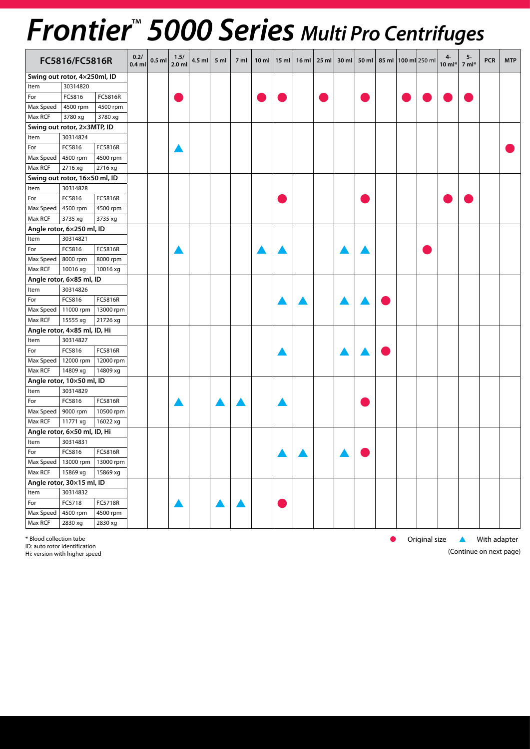## *Frontier*™  *5000 Series Multi Pro Centrifuges*

|           | FC5816/FC5816R                |           | 0.2/<br>$0.4$ ml | $0.5$ ml | 1.5/<br>$2.0$ ml | 4.5 ml | 5 <sub>m</sub> | 7 ml | 10 ml | $15$ ml   16 ml | 25 ml $\vert$ 30 ml $\vert$ |  | 50 ml   85 ml   100 ml 250 ml | $10$ ml* | 5-<br>$7 ml*$ | <b>PCR</b> | <b>MTP</b> |
|-----------|-------------------------------|-----------|------------------|----------|------------------|--------|----------------|------|-------|-----------------|-----------------------------|--|-------------------------------|----------|---------------|------------|------------|
|           | Swing out rotor, 4x250ml, ID  |           |                  |          |                  |        |                |      |       |                 |                             |  |                               |          |               |            |            |
| Item      | 30314820                      |           |                  |          |                  |        |                |      |       |                 |                             |  |                               |          |               |            |            |
| For       | FC5816                        | FC5816R   |                  |          |                  |        |                |      |       |                 |                             |  |                               |          |               |            |            |
| Max Speed | 4500 rpm                      | 4500 rpm  |                  |          |                  |        |                |      |       |                 |                             |  |                               |          |               |            |            |
| Max RCF   | 3780 xg                       | 3780 xg   |                  |          |                  |        |                |      |       |                 |                             |  |                               |          |               |            |            |
|           | Swing out rotor, 2×3MTP, ID   |           |                  |          |                  |        |                |      |       |                 |                             |  |                               |          |               |            |            |
| Item      | 30314824                      |           |                  |          |                  |        |                |      |       |                 |                             |  |                               |          |               |            |            |
| For       | FC5816                        | FC5816R   |                  |          |                  |        |                |      |       |                 |                             |  |                               |          |               |            |            |
| Max Speed | 4500 rpm                      | 4500 rpm  |                  |          |                  |        |                |      |       |                 |                             |  |                               |          |               |            |            |
| Max RCF   | 2716 xg                       | 2716 xg   |                  |          |                  |        |                |      |       |                 |                             |  |                               |          |               |            |            |
|           | Swing out rotor, 16×50 ml, ID |           |                  |          |                  |        |                |      |       |                 |                             |  |                               |          |               |            |            |
| Item      | 30314828                      |           |                  |          |                  |        |                |      |       |                 |                             |  |                               |          |               |            |            |
| For       | FC5816                        | FC5816R   |                  |          |                  |        |                |      |       |                 |                             |  |                               |          |               |            |            |
| Max Speed | 4500 rpm                      | 4500 rpm  |                  |          |                  |        |                |      |       |                 |                             |  |                               |          |               |            |            |
| Max RCF   | 3735 xg                       | 3735 xg   |                  |          |                  |        |                |      |       |                 |                             |  |                               |          |               |            |            |
|           | Angle rotor, 6x250 ml, ID     |           |                  |          |                  |        |                |      |       |                 |                             |  |                               |          |               |            |            |
| Item      | 30314821                      |           |                  |          |                  |        |                |      |       |                 |                             |  |                               |          |               |            |            |
| For       | FC5816                        | FC5816R   |                  |          |                  |        |                |      |       |                 |                             |  |                               |          |               |            |            |
| Max Speed | 8000 rpm                      | 8000 rpm  |                  |          |                  |        |                |      |       |                 |                             |  |                               |          |               |            |            |
| Max RCF   | 10016 xg                      | 10016 xg  |                  |          |                  |        |                |      |       |                 |                             |  |                               |          |               |            |            |
|           | Angle rotor, 6x85 ml, ID      |           |                  |          |                  |        |                |      |       |                 |                             |  |                               |          |               |            |            |
| Item      | 30314826                      |           |                  |          |                  |        |                |      |       |                 |                             |  |                               |          |               |            |            |
| For       | FC5816                        | FC5816R   |                  |          |                  |        |                |      |       |                 |                             |  |                               |          |               |            |            |
| Max Speed | 11000 rpm                     | 13000 rpm |                  |          |                  |        |                |      |       |                 |                             |  |                               |          |               |            |            |
| Max RCF   | 15555 xg                      | 21726 xg  |                  |          |                  |        |                |      |       |                 |                             |  |                               |          |               |            |            |
|           | Angle rotor, 4x85 ml, ID, Hi  |           |                  |          |                  |        |                |      |       |                 |                             |  |                               |          |               |            |            |
| Item      | 30314827                      |           |                  |          |                  |        |                |      |       |                 |                             |  |                               |          |               |            |            |
| For       | FC5816                        | FC5816R   |                  |          |                  |        |                |      |       |                 |                             |  |                               |          |               |            |            |
| Max Speed | 12000 rpm                     | 12000 rpm |                  |          |                  |        |                |      |       |                 |                             |  |                               |          |               |            |            |
| Max RCF   | 14809 xg                      | 14809 xg  |                  |          |                  |        |                |      |       |                 |                             |  |                               |          |               |            |            |
|           | Angle rotor, 10×50 ml, ID     |           |                  |          |                  |        |                |      |       |                 |                             |  |                               |          |               |            |            |
| Item      | 30314829                      |           |                  |          |                  |        |                |      |       |                 |                             |  |                               |          |               |            |            |
| For       | FC5816                        | FC5816R   |                  |          |                  |        |                |      |       |                 |                             |  |                               |          |               |            |            |
| Max Speed | 9000 rpm                      | 10500 rpm |                  |          |                  |        |                |      |       |                 |                             |  |                               |          |               |            |            |
| Max RCF   | 11771 xg                      | 16022 xg  |                  |          |                  |        |                |      |       |                 |                             |  |                               |          |               |            |            |
|           | Angle rotor, 6×50 ml, ID, Hi  |           |                  |          |                  |        |                |      |       |                 |                             |  |                               |          |               |            |            |
| Item      | 30314831                      |           |                  |          |                  |        |                |      |       |                 |                             |  |                               |          |               |            |            |
| For       | FC5816                        | FC5816R   |                  |          |                  |        |                |      |       |                 |                             |  |                               |          |               |            |            |
| Max Speed | 13000 rpm                     | 13000 rpm |                  |          |                  |        |                |      |       |                 |                             |  |                               |          |               |            |            |
| Max RCF   | 15869 xg                      | 15869 xg  |                  |          |                  |        |                |      |       |                 |                             |  |                               |          |               |            |            |
|           | Angle rotor, 30×15 ml, ID     |           |                  |          |                  |        |                |      |       |                 |                             |  |                               |          |               |            |            |
| Item      | 30314832                      |           |                  |          |                  |        |                |      |       |                 |                             |  |                               |          |               |            |            |
| For       | FC5718                        | FC5718R   |                  |          |                  |        |                |      |       |                 |                             |  |                               |          |               |            |            |
| Max Speed | 4500 rpm                      | 4500 rpm  |                  |          |                  |        |                |      |       |                 |                             |  |                               |          |               |            |            |
| Max RCF   | 2830 xg                       | 2830 xg   |                  |          |                  |        |                |      |       |                 |                             |  |                               |          |               |            |            |

\* Blood collection tube lines are set of the later set of the later set of the collection tube set of the set of the collection tube set of the collection tube set of the collection tube set of the collection tube set of t

ID: auto rotor identification

Hi: version with higher speed

(Continue on next page)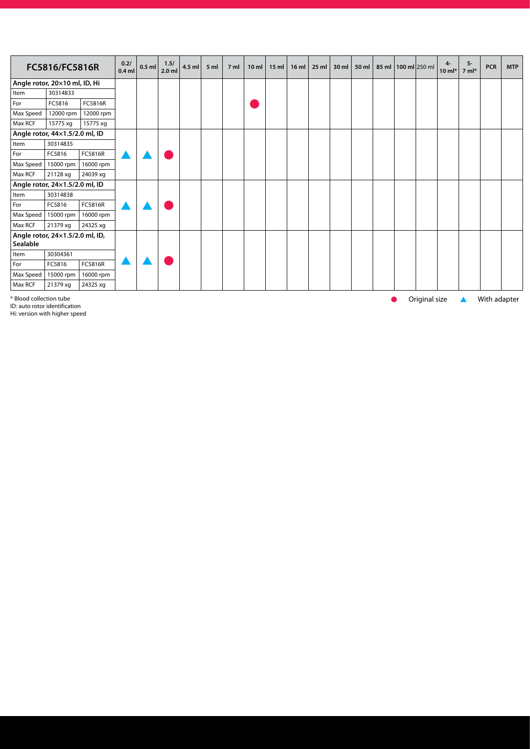|                                             | FC5816/FC5816R |                | 0.2/<br>$0.4$ ml | $0.5$ ml | 1.5/<br>$2.0$ ml | 4.5 ml | 5 <sub>m</sub> | 7 <sub>m</sub> | 10 <sub>m</sub> | $15$ ml | $16$ ml | 25 ml | 30 ml | 50 ml | 85 ml   100 ml $ 250$ ml | 4-<br>$10 \text{ ml}^*$ | 5-<br>$7 \text{ ml}^*$ | <b>PCR</b> | <b>MTP</b> |
|---------------------------------------------|----------------|----------------|------------------|----------|------------------|--------|----------------|----------------|-----------------|---------|---------|-------|-------|-------|--------------------------|-------------------------|------------------------|------------|------------|
| Angle rotor, 20×10 ml, ID, Hi               |                |                |                  |          |                  |        |                |                |                 |         |         |       |       |       |                          |                         |                        |            |            |
| Item                                        | 30314833       |                |                  |          |                  |        |                |                |                 |         |         |       |       |       |                          |                         |                        |            |            |
| For                                         | FC5816         | FC5816R        |                  |          |                  |        |                |                |                 |         |         |       |       |       |                          |                         |                        |            |            |
| Max Speed                                   | 12000 rpm      | 12000 rpm      |                  |          |                  |        |                |                |                 |         |         |       |       |       |                          |                         |                        |            |            |
| Max RCF                                     | 15775 xg       | 15775 xg       |                  |          |                  |        |                |                |                 |         |         |       |       |       |                          |                         |                        |            |            |
| Angle rotor, 44×1.5/2.0 ml, ID              |                |                |                  |          |                  |        |                |                |                 |         |         |       |       |       |                          |                         |                        |            |            |
| Item                                        | 30314835       |                |                  |          |                  |        |                |                |                 |         |         |       |       |       |                          |                         |                        |            |            |
| For                                         | FC5816         | FC5816R        |                  |          |                  |        |                |                |                 |         |         |       |       |       |                          |                         |                        |            |            |
| Max Speed                                   | 15000 rpm      | 16000 rpm      |                  |          |                  |        |                |                |                 |         |         |       |       |       |                          |                         |                        |            |            |
| Max RCF                                     | 21128 xg       | 24039 xg       |                  |          |                  |        |                |                |                 |         |         |       |       |       |                          |                         |                        |            |            |
| Angle rotor, 24x1.5/2.0 ml, ID              |                |                |                  |          |                  |        |                |                |                 |         |         |       |       |       |                          |                         |                        |            |            |
| Item                                        | 30314838       |                |                  |          |                  |        |                |                |                 |         |         |       |       |       |                          |                         |                        |            |            |
| For                                         | FC5816         | FC5816R        |                  |          |                  |        |                |                |                 |         |         |       |       |       |                          |                         |                        |            |            |
| Max Speed                                   | 15000 rpm      | 16000 rpm      |                  |          |                  |        |                |                |                 |         |         |       |       |       |                          |                         |                        |            |            |
| Max RCF                                     | 21379 xg       | 24325 xg       |                  |          |                  |        |                |                |                 |         |         |       |       |       |                          |                         |                        |            |            |
| Angle rotor, 24x1.5/2.0 ml, ID,<br>Sealable |                |                |                  |          |                  |        |                |                |                 |         |         |       |       |       |                          |                         |                        |            |            |
| Item                                        | 30304361       |                |                  |          |                  |        |                |                |                 |         |         |       |       |       |                          |                         |                        |            |            |
| For                                         | FC5816         | <b>FC5816R</b> |                  |          |                  |        |                |                |                 |         |         |       |       |       |                          |                         |                        |            |            |
| Max Speed                                   | 15000 rpm      | 16000 rpm      |                  |          |                  |        |                |                |                 |         |         |       |       |       |                          |                         |                        |            |            |
| Max RCF                                     | 21379 xg       | 24325 xq       |                  |          |                  |        |                |                |                 |         |         |       |       |       |                          |                         |                        |            |            |

\* Blood collection tube like the state of the state of Original size state of Mith adapter and the Shane of Shane Shane of Shane Shane Shane Shane Shane Shane Shane Shane Shane Shane Shane Shane Shane Shane Shane Shane Sha

Hi: version with higher speed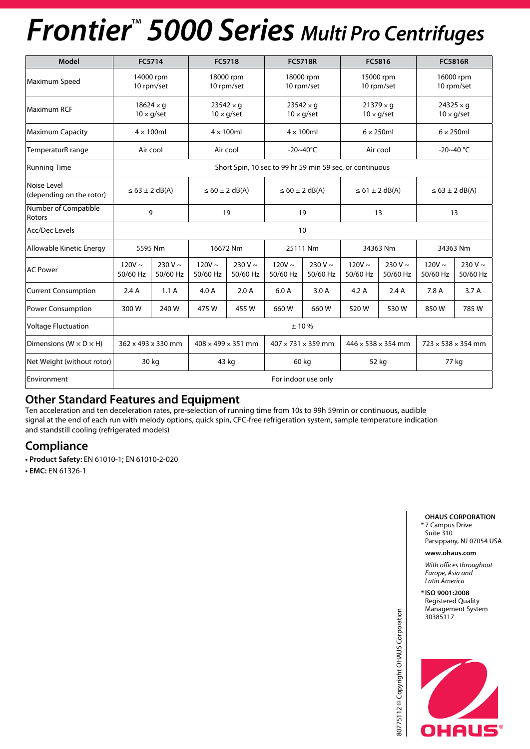## *Frontier*™  *5000 Series Multi Pro Centrifuges*

| Model                                   |                         | FC5714                                |                         | <b>FC5718</b>                                            |                                | <b>FC5718R</b>                        | FC5816                                                           |                                                |                         | <b>FC5816R</b>                        |  |
|-----------------------------------------|-------------------------|---------------------------------------|-------------------------|----------------------------------------------------------|--------------------------------|---------------------------------------|------------------------------------------------------------------|------------------------------------------------|-------------------------|---------------------------------------|--|
| Maximum Speed                           |                         | 14000 rpm<br>10 rpm/set               |                         | 18000 rpm<br>10 rpm/set                                  |                                | 18000 rpm<br>10 rpm/set               | 15000 rpm                                                        | 10 rpm/set                                     |                         | 16000 rpm<br>10 rpm/set               |  |
| <b>Maximum RCF</b>                      |                         | $18624 \times g$<br>$10 \times g/sec$ |                         | $23542 \times g$<br>$10 \times g/sec$                    |                                | $23542 \times q$<br>$10 \times g/sec$ | $21379 \times q$<br>$10 \times g/sec$                            |                                                |                         | $24325 \times q$<br>$10 \times g/sec$ |  |
| <b>Maximum Capacity</b>                 |                         | $4 \times 100$ ml                     |                         | $4 \times 100$ ml                                        |                                | $4 \times 100$ ml                     | $6 \times 250$ ml                                                |                                                |                         | $6 \times 250$ ml                     |  |
| TemperaturR range                       |                         | Air cool                              |                         | Air cool                                                 |                                | $-20 - 40^{\circ}C$                   | Air cool                                                         |                                                |                         | $-20 - 40$ °C                         |  |
| <b>Running Time</b>                     |                         |                                       |                         | Short Spin, 10 sec to 99 hr 59 min 59 sec, or continuous |                                |                                       |                                                                  |                                                |                         |                                       |  |
| Noise Level<br>(depending on the rotor) |                         | $\leq 63 \pm 2$ dB(A)                 |                         | $\leq 60 \pm 2$ dB(A)                                    | $\leq 60 \pm 2$ dB(A)          |                                       |                                                                  | $\leq 61 \pm 2$ dB(A)<br>$\leq 63 \pm 2$ dB(A) |                         |                                       |  |
| <b>Number of Compatible</b><br>Rotors   |                         | 9                                     |                         | 19                                                       | 19                             |                                       | 13<br>13                                                         |                                                |                         |                                       |  |
| Acc/Dec Levels                          |                         |                                       |                         |                                                          | 10                             |                                       |                                                                  |                                                |                         |                                       |  |
| Allowable Kinetic Energy                |                         | 5595 Nm                               |                         | 16672 Nm                                                 |                                | 25111 Nm                              |                                                                  | 34363 Nm                                       |                         | 34363 Nm                              |  |
| <b>AC Power</b>                         | $120V \sim$<br>50/60 Hz | $230 V \sim$<br>50/60 Hz              | $120V \sim$<br>50/60 Hz | 230 V $\sim$<br>50/60 Hz                                 | $120V \sim$<br>50/60 Hz        | $230 V \sim$<br>50/60 Hz              | $120V \sim$<br>50/60 Hz                                          | $230 V \sim$<br>50/60 Hz                       | $120V \sim$<br>50/60 Hz | 230 V $\sim$<br>50/60 Hz              |  |
| <b>Current Consumption</b>              | 2.4A                    | 1.1A                                  | 4.0 A                   | 2.0A                                                     | 6.0A                           | 3.0 A                                 | 4.2A                                                             | 2.4A                                           | 7.8 A                   | 3.7A                                  |  |
| <b>Power Consumption</b>                | 300 W                   | 240 W                                 | 475W                    | 455 W                                                    | 660 W                          | 660 W                                 | 520W                                                             | 530W                                           | 850W                    | 785 W                                 |  |
| <b>Voltage Fluctuation</b>              |                         |                                       | ±10%                    |                                                          |                                |                                       |                                                                  |                                                |                         |                                       |  |
| Dimensions ( $W \times D \times H$ )    |                         | 362 x 493 x 330 mm                    |                         | $408 \times 499 \times 351$ mm                           | $407 \times 731 \times 359$ mm |                                       | $446 \times 538 \times 354$ mm<br>$723 \times 538 \times 354$ mm |                                                |                         |                                       |  |
| Net Weight (without rotor)              |                         | 30 kg                                 |                         | 43 kg                                                    | 60 kg                          |                                       | 52 kg<br>77 kg                                                   |                                                |                         |                                       |  |
| Environment                             |                         |                                       |                         |                                                          |                                | For indoor use only                   |                                                                  |                                                |                         |                                       |  |

### **Other Standard Features and Equipment**

Ten acceleration and ten deceleration rates, pre-selection of running time from 10s to 99h 59min or continuous, audible signal at the end of each run with melody options, quick spin, CFC-free refrigeration system, sample temperature indication and standstill cooling (refrigerated models)

### **Compliance**

**• Product Safety:** EN 61010-1; EN 61010-2-020

**• EMC:** EN 61326-1

#### **OHAUS CORPORATION** \* 7 Campus Drive Suite 310

Parsippany, NJ 07054 USA

#### **www.ohaus.com**

*With offices throughout Europe, Asia and Latin America*

**\* ISO 9001:2008** Registered Quality Management System 30385117



80775112 © Copyright OHAUS Corporation

80775112 © Copyright OHAUS Corporation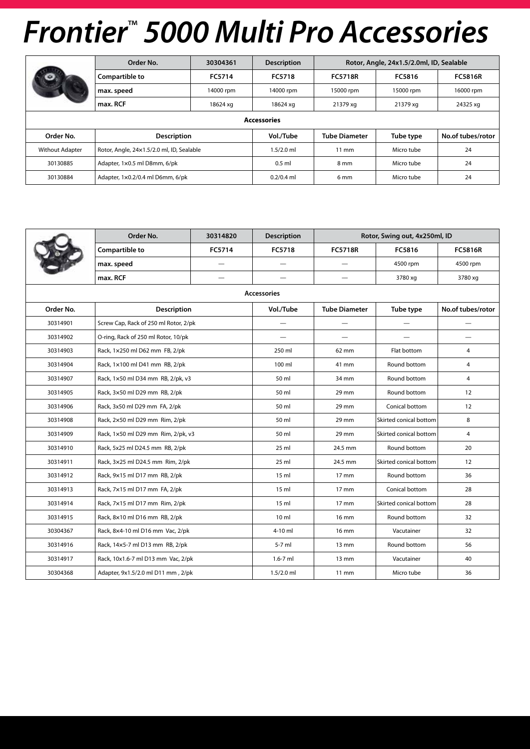|                        | Order No.                                 | 30304361  | <b>Description</b> |                      | Rotor, Angle, 24x1.5/2.0ml, ID, Sealable |                   |  |  |  |  |  |  |
|------------------------|-------------------------------------------|-----------|--------------------|----------------------|------------------------------------------|-------------------|--|--|--|--|--|--|
|                        | Compartible to                            | FC5714    | FC5718             | <b>FC5718R</b>       | FC5816                                   | <b>FC5816R</b>    |  |  |  |  |  |  |
|                        | max. speed                                | 14000 rpm | 14000 rpm          | 15000 rpm            | 15000 rpm                                | 16000 rpm         |  |  |  |  |  |  |
|                        | max. RCF                                  | 18624 xg  | 18624 xg           | 21379 xg             | 21379 xg                                 | 24325 xg          |  |  |  |  |  |  |
| <b>Accessories</b>     |                                           |           |                    |                      |                                          |                   |  |  |  |  |  |  |
| Order No.              | <b>Description</b>                        |           | Vol./Tube          | <b>Tube Diameter</b> | Tube type                                | No.of tubes/rotor |  |  |  |  |  |  |
| <b>Without Adapter</b> | Rotor, Angle, 24x1.5/2.0 ml, ID, Sealable |           | $1.5/2.0$ ml       | $11 \text{ mm}$      | Micro tube                               | 24                |  |  |  |  |  |  |
| 30130885               | Adapter, 1x0.5 ml D8mm, 6/pk              |           | $0.5$ ml           | 8 mm                 | Micro tube                               | 24                |  |  |  |  |  |  |
| 30130884               | Adapter, 1×0.2/0.4 ml D6mm, 6/pk          |           | $0.2/0.4$ ml       | 6 <sub>mm</sub>      | Micro tube                               | 24                |  |  |  |  |  |  |

|           | Order No.                             | 30314820                 | <b>Description</b> |                                   | Rotor, Swing out, 4x250ml, ID |                   |
|-----------|---------------------------------------|--------------------------|--------------------|-----------------------------------|-------------------------------|-------------------|
|           | Compartible to                        | FC5714                   | FC5718             | <b>FC5718R</b>                    | FC5816                        | <b>FC5816R</b>    |
|           | max. speed                            |                          |                    |                                   | 4500 rpm                      | 4500 rpm          |
|           | max. RCF                              | $\overline{\phantom{0}}$ | —                  | $\overbrace{\phantom{123221111}}$ | 3780 xg                       | 3780 xg           |
|           |                                       |                          | <b>Accessories</b> |                                   |                               |                   |
| Order No. | <b>Description</b>                    |                          | Vol./Tube          | <b>Tube Diameter</b>              | Tube type                     | No.of tubes/rotor |
| 30314901  | Screw Cap, Rack of 250 ml Rotor, 2/pk |                          |                    |                                   |                               |                   |
| 30314902  | O-ring, Rack of 250 ml Rotor, 10/pk   |                          |                    |                                   |                               |                   |
| 30314903  | Rack, 1x250 ml D62 mm FB, 2/pk        |                          | 250 ml             | 62 mm                             | Flat bottom                   | 4                 |
| 30314904  | Rack, 1×100 ml D41 mm RB, 2/pk        |                          | 100 ml             | 41 mm                             | Round bottom                  | $\overline{4}$    |
| 30314907  | Rack, 1×50 ml D34 mm RB, 2/pk, v3     |                          | 50 ml              | 34 mm                             | Round bottom                  | 4                 |
| 30314905  | Rack, 3×50 ml D29 mm RB, 2/pk         |                          | 50 ml              | 29 mm                             | Round bottom                  | 12                |
| 30314906  | Rack, 3x50 ml D29 mm FA, 2/pk         |                          | 50 ml              | 29 mm                             | Conical bottom                | 12                |
| 30314908  | Rack, 2×50 ml D29 mm Rim, 2/pk        |                          | 50 ml              | 29 mm                             | Skirted conical bottom        | 8                 |
| 30314909  | Rack, 1×50 ml D29 mm Rim, 2/pk, v3    |                          | 50 ml              | 29 mm                             | Skirted conical bottom        | $\overline{4}$    |
| 30314910  | Rack, 5x25 ml D24.5 mm RB, 2/pk       |                          | $25$ ml            | 24.5 mm                           | Round bottom                  | 20                |
| 30314911  | Rack, 3×25 ml D24.5 mm Rim, 2/pk      |                          | $25$ ml            | 24.5 mm                           | Skirted conical bottom        | 12                |
| 30314912  | Rack, 9x15 ml D17 mm RB, 2/pk         |                          | 15 <sub>m</sub>    | 17 mm                             | Round bottom                  | 36                |
| 30314913  | Rack, 7x15 ml D17 mm FA, 2/pk         |                          | $15 \text{ ml}$    | $17 \text{ mm}$                   | Conical bottom                | 28                |
| 30314914  | Rack, 7x15 ml D17 mm Rim, 2/pk        |                          | $15 \text{ ml}$    | 17 mm                             | Skirted conical bottom        | 28                |
| 30314915  | Rack, 8×10 ml D16 mm RB, 2/pk         |                          | $10 \text{ ml}$    | 16 mm                             | Round bottom                  | 32 <sup>2</sup>   |
| 30304367  | Rack, 8×4-10 ml D16 mm Vac, 2/pk      |                          | 4-10 ml            | 16 mm                             | Vacutainer                    | 32                |
| 30314916  | Rack, 14x5-7 ml D13 mm RB, 2/pk       |                          | 5-7 ml             | $13 \text{ mm}$                   | Round bottom                  | 56                |
| 30314917  | Rack, 10x1.6-7 ml D13 mm Vac, 2/pk    |                          | $1.6 - 7$ ml       | $13 \text{ mm}$                   | Vacutainer                    | 40                |
| 30304368  | Adapter, 9x1.5/2.0 ml D11 mm, 2/pk    |                          | $1.5/2.0$ ml       | $11 \text{ mm}$                   | Micro tube                    | 36                |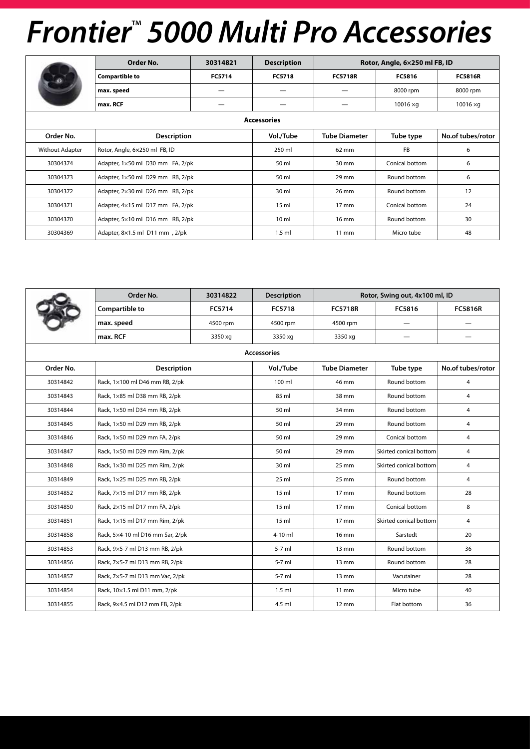|                        | Order No.                        | 30314821 | <b>Description</b> |                      | Rotor, Angle, 6×250 ml FB, ID |                   |
|------------------------|----------------------------------|----------|--------------------|----------------------|-------------------------------|-------------------|
|                        | <b>Compartible to</b>            | FC5714   | <b>FC5718</b>      | <b>FC5718R</b>       | FC5816                        | <b>FC5816R</b>    |
|                        | max. speed                       |          |                    |                      | 8000 rpm                      | 8000 rpm          |
|                        | max. RCF                         |          |                    |                      | $10016 \times g$              | $10016 \times g$  |
|                        |                                  |          | <b>Accessories</b> |                      |                               |                   |
| Order No.              | <b>Description</b>               |          | Vol./Tube          | <b>Tube Diameter</b> | Tube type                     | No.of tubes/rotor |
| <b>Without Adapter</b> | Rotor, Angle, 6x250 ml FB, ID    |          | 250 ml             | 62 mm                | <b>FB</b>                     | 6                 |
| 30304374               | Adapter, 1×50 ml D30 mm FA, 2/pk |          | 50 ml              | 30 mm                | Conical bottom                | 6                 |
| 30304373               | Adapter, 1×50 ml D29 mm RB, 2/pk |          | 50 ml              | $29$ mm              | Round bottom                  | 6                 |
| 30304372               | Adapter, 2×30 ml D26 mm RB, 2/pk |          | 30 ml              | 26 mm                | Round bottom                  | 12                |
| 30304371               | Adapter, 4×15 ml D17 mm FA, 2/pk |          | 15 <sub>m</sub>    | $17 \text{ mm}$      | Conical bottom                | 24                |
| 30304370               | Adapter, 5×10 ml D16 mm RB, 2/pk |          | 10 <sub>m</sub>    | $16 \text{ mm}$      | Round bottom                  | 30                |
| 30304369               | Adapter, 8×1.5 ml D11 mm, 2/pk   |          | $1.5$ ml           | $11 \text{ mm}$      | Micro tube                    | 48                |

|           | Order No.                        | 30314822 | <b>Description</b> |                      | Rotor, Swing out, 4x100 ml, ID |                   |
|-----------|----------------------------------|----------|--------------------|----------------------|--------------------------------|-------------------|
|           | Compartible to                   | FC5714   | FC5718             | <b>FC5718R</b>       | FC5816                         | <b>FC5816R</b>    |
|           | max. speed                       | 4500 rpm | 4500 rpm           | 4500 rpm             | $\overline{\phantom{0}}$       |                   |
|           | max. RCF                         | 3350 xg  | 3350 xg            | 3350 xg              |                                |                   |
|           |                                  |          | <b>Accessories</b> |                      |                                |                   |
| Order No. | <b>Description</b>               |          | Vol./Tube          | <b>Tube Diameter</b> | Tube type                      | No.of tubes/rotor |
| 30314842  | Rack, 1×100 ml D46 mm RB, 2/pk   |          | 100 ml             | 46 mm                | Round bottom                   | 4                 |
| 30314843  | Rack, 1×85 ml D38 mm RB, 2/pk    |          | 85 ml              | 38 mm                | Round bottom                   | 4                 |
| 30314844  | Rack, 1×50 ml D34 mm RB, 2/pk    |          | 50 ml              | 34 mm                | Round bottom                   | $\overline{4}$    |
| 30314845  | Rack, 1×50 ml D29 mm RB, 2/pk    |          | 50 ml              | 29 mm                | Round bottom                   | $\overline{4}$    |
| 30314846  | Rack, 1×50 ml D29 mm FA, 2/pk    |          | 50 ml              | 29 mm                | Conical bottom                 | 4                 |
| 30314847  | Rack, 1×50 ml D29 mm Rim, 2/pk   |          | 50 ml              | 29 mm                | Skirted conical bottom         | $\overline{4}$    |
| 30314848  | Rack, 1×30 ml D25 mm Rim, 2/pk   |          | 30 ml              | 25 mm                | Skirted conical bottom         | 4                 |
| 30314849  | Rack, 1×25 ml D25 mm RB, 2/pk    |          | $25$ ml            | 25 mm                | Round bottom                   | $\overline{4}$    |
| 30314852  | Rack, 7×15 ml D17 mm RB, 2/pk    |          | 15 <sub>m</sub>    | 17 mm                | Round bottom                   | 28                |
| 30314850  | Rack, 2×15 ml D17 mm FA, 2/pk    |          | 15 <sub>m</sub>    | $17 \text{ mm}$      | Conical bottom                 | 8                 |
| 30314851  | Rack, 1×15 ml D17 mm Rim, 2/pk   |          | 15 <sub>m</sub>    | $17 \text{ mm}$      | Skirted conical bottom         | 4                 |
| 30314858  | Rack, 5×4-10 ml D16 mm Sar, 2/pk |          | 4-10 ml            | 16 mm                | Sarstedt                       | 20                |
| 30314853  | Rack, 9×5-7 ml D13 mm RB, 2/pk   |          | $5-7$ ml           | $13 \text{ mm}$      | Round bottom                   | 36                |
| 30314856  | Rack, 7×5-7 ml D13 mm RB, 2/pk   |          | 5-7 ml             | 13 mm                | Round bottom                   | 28                |
| 30314857  | Rack, 7×5-7 ml D13 mm Vac, 2/pk  |          | $5-7$ ml           | $13 \text{ mm}$      | Vacutainer                     | 28                |
| 30314854  | Rack, 10×1.5 ml D11 mm, 2/pk     |          | $1.5$ ml           | 11 mm                | Micro tube                     | 40                |
| 30314855  | Rack, 9×4.5 ml D12 mm FB, 2/pk   |          | 4.5 ml             | $12 \text{ mm}$      | Flat bottom                    | 36                |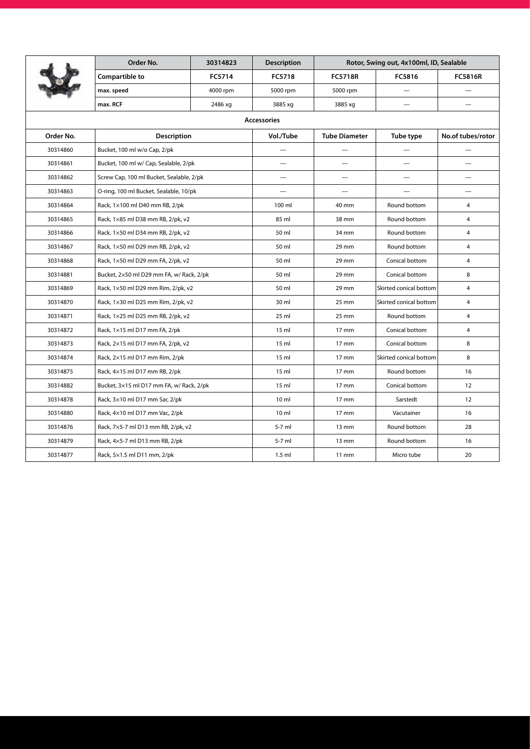|           | Order No.                                | 30314823 | <b>Description</b> |                          | Rotor, Swing out, 4x100ml, ID, Sealable |                   |
|-----------|------------------------------------------|----------|--------------------|--------------------------|-----------------------------------------|-------------------|
|           | Compartible to                           | FC5714   | FC5718             | <b>FC5718R</b>           | FC5816                                  | <b>FC5816R</b>    |
|           | max. speed                               | 4000 rpm | 5000 rpm           | 5000 rpm                 |                                         |                   |
|           | max. RCF                                 | 2486 xg  | 3885 xg            | 3885 xg                  |                                         |                   |
|           |                                          |          | <b>Accessories</b> |                          |                                         |                   |
| Order No. | Description                              |          | Vol./Tube          | <b>Tube Diameter</b>     | Tube type                               | No.of tubes/rotor |
| 30314860  | Bucket, 100 ml w/o Cap, 2/pk             |          |                    | $\overline{\phantom{0}}$ |                                         |                   |
| 30314861  | Bucket, 100 ml w/ Cap, Sealable, 2/pk    |          |                    | —                        |                                         |                   |
| 30314862  | Screw Cap, 100 ml Bucket, Sealable, 2/pk |          |                    |                          |                                         |                   |
| 30314863  | O-ring, 100 ml Bucket, Sealable, 10/pk   |          |                    | $\overline{\phantom{0}}$ |                                         |                   |
| 30314864  | Rack, 1×100 ml D40 mm RB, 2/pk           |          | 100 ml             | 40 mm                    | Round bottom                            | 4                 |
| 30314865  | Rack, 1×85 ml D38 mm RB, 2/pk, v2        |          | 85 ml              | 38 mm                    | Round bottom                            | $\overline{4}$    |
| 30314866  | Rack, 1×50 ml D34 mm RB, 2/pk, v2        |          | 50 ml              | 34 mm                    | Round bottom                            | $\overline{4}$    |
| 30314867  | Rack, 1×50 ml D29 mm RB, 2/pk, v2        |          | 50 ml              | 29 mm                    | Round bottom                            | $\overline{4}$    |
| 30314868  | Rack, 1×50 ml D29 mm FA, 2/pk, v2        |          | 50 ml              | 29 mm                    | Conical bottom                          | $\overline{4}$    |
| 30314881  | Bucket, 2×50 ml D29 mm FA, w/ Rack, 2/pk |          | 50 ml              | 29 mm                    | Conical bottom                          | 8                 |
| 30314869  | Rack, 1×50 ml D29 mm Rim, 2/pk, v2       |          | 50 ml              | 29 mm                    | Skirted conical bottom                  | $\overline{4}$    |
| 30314870  | Rack, 1×30 ml D25 mm Rim, 2/pk, v2       |          | 30 ml              | 25 mm                    | Skirted conical bottom                  | $\overline{4}$    |
| 30314871  | Rack, 1×25 ml D25 mm RB, 2/pk, v2        |          | 25 ml              | 25 mm                    | Round bottom                            | 4                 |
| 30314872  | Rack, 1×15 ml D17 mm FA, 2/pk            |          | 15 <sub>m</sub>    | 17 mm                    | Conical bottom                          | $\overline{4}$    |
| 30314873  | Rack, 2×15 ml D17 mm FA, 2/pk, v2        |          | 15 <sub>m</sub>    | 17 mm                    | Conical bottom                          | 8                 |
| 30314874  | Rack, 2×15 ml D17 mm Rim, 2/pk           |          | 15 <sub>m</sub>    | 17 mm                    | Skirted conical bottom                  | 8                 |
| 30314875  | Rack, 4×15 ml D17 mm RB, 2/pk            |          | 15 <sub>m</sub>    | $17 \text{ mm}$          | Round bottom                            | 16                |
| 30314882  | Bucket, 3×15 ml D17 mm FA, w/ Rack, 2/pk |          | 15 <sub>m</sub>    | $17 \text{ mm}$          | Conical bottom                          | 12                |
| 30314878  | Rack, 3×10 ml D17 mm Sar, 2/pk           |          | 10 <sub>m</sub>    | 17 mm                    | Sarstedt                                | 12                |
| 30314880  | Rack, 4×10 ml D17 mm Vac, 2/pk           |          | 10 <sub>m</sub>    | 17 mm                    | Vacutainer                              | 16                |
| 30314876  | Rack, 7×5-7 ml D13 mm RB, 2/pk, v2       |          | 5-7 ml             | $13 \text{ mm}$          | Round bottom                            | 28                |
| 30314879  | Rack, 4×5-7 ml D13 mm RB, 2/pk           |          | $5-7$ ml           | $13 \text{ mm}$          | Round bottom                            | 16                |
| 30314877  | Rack, 5×1.5 ml D11 mm, 2/pk              |          | $1.5$ ml           | $11 \text{ mm}$          | Micro tube                              | 20                |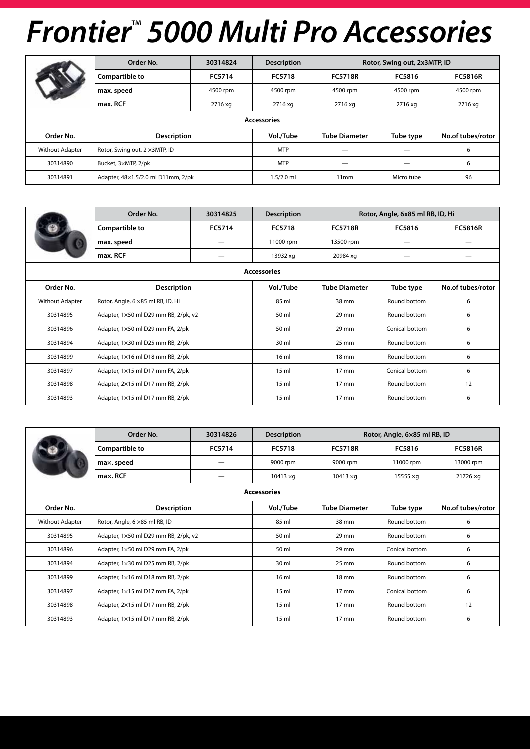|                        | Order No.                          | 30314824 | <b>Description</b> |                      | Rotor, Swing out, 2x3MTP, ID |                   |  |  |  |  |  |
|------------------------|------------------------------------|----------|--------------------|----------------------|------------------------------|-------------------|--|--|--|--|--|
|                        | Compartible to                     | FC5714   | FC5718             | <b>FC5718R</b>       | FC5816                       | <b>FC5816R</b>    |  |  |  |  |  |
|                        | max. speed                         | 4500 rpm | 4500 rpm           | 4500 rpm             | 4500 rpm                     | 4500 rpm          |  |  |  |  |  |
|                        | max. RCF                           | 2716 xg  | 2716 xg            | 2716 xg              | 2716 xg                      | 2716 xg           |  |  |  |  |  |
| <b>Accessories</b>     |                                    |          |                    |                      |                              |                   |  |  |  |  |  |
| Order No.              | <b>Description</b>                 |          | Vol./Tube          | <b>Tube Diameter</b> | Tube type                    | No.of tubes/rotor |  |  |  |  |  |
| <b>Without Adapter</b> | Rotor, Swing out, 2 x3MTP, ID      |          | <b>MTP</b>         |                      |                              | 6                 |  |  |  |  |  |
| 30314890               | Bucket, 3×MTP, 2/pk                |          | <b>MTP</b>         |                      |                              | 6                 |  |  |  |  |  |
| 30314891               | Adapter, 48×1.5/2.0 ml D11mm, 2/pk |          | $1.5/2.0$ ml       | 11mm                 | Micro tube                   | 96                |  |  |  |  |  |

|                    | Order No.                            | 30314825 | <b>Description</b> | Rotor, Angle, 6x85 ml RB, ID, Hi |                |                   |  |  |  |
|--------------------|--------------------------------------|----------|--------------------|----------------------------------|----------------|-------------------|--|--|--|
|                    | Compartible to                       | FC5714   | FC5718             | <b>FC5718R</b>                   | FC5816         | <b>FC5816R</b>    |  |  |  |
|                    | max. speed                           |          | 11000 rpm          | 13500 rpm                        |                |                   |  |  |  |
|                    | max. RCF                             |          | 13932 xg           | 20984 xg                         |                |                   |  |  |  |
| <b>Accessories</b> |                                      |          |                    |                                  |                |                   |  |  |  |
| Order No.          | <b>Description</b>                   |          | Vol./Tube          | <b>Tube Diameter</b>             | Tube type      | No.of tubes/rotor |  |  |  |
| Without Adapter    | Rotor, Angle, 6 × 85 ml RB, ID, Hi   |          | 85 ml              | 38 mm                            | Round bottom   | 6                 |  |  |  |
| 30314895           | Adapter, 1×50 ml D29 mm RB, 2/pk, v2 |          | 50 ml              | $29$ mm                          | Round bottom   | 6                 |  |  |  |
| 30314896           | Adapter, 1×50 ml D29 mm FA, 2/pk     |          | 50 ml              | 29 mm                            | Conical bottom | 6                 |  |  |  |
| 30314894           | Adapter, 1×30 ml D25 mm RB, 2/pk     |          | 30 ml              | 25 mm                            | Round bottom   | 6                 |  |  |  |
| 30314899           | Adapter, 1×16 ml D18 mm RB, 2/pk     |          | 16 ml              | 18 mm                            | Round bottom   | 6                 |  |  |  |
| 30314897           | Adapter, 1×15 ml D17 mm FA, 2/pk     |          | $15 \text{ ml}$    | $17 \text{ mm}$                  | Conical bottom | 6                 |  |  |  |
| 30314898           | Adapter, 2×15 ml D17 mm RB, 2/pk     |          | $15$ ml            | $17 \text{ mm}$                  | Round bottom   | 12                |  |  |  |
| 30314893           | Adapter, 1×15 ml D17 mm RB, 2/pk     |          | 15 <sub>m</sub>    | 17 mm                            | Round bottom   | 6                 |  |  |  |

|                    | Order No.                            | 30314826 | <b>Description</b> | Rotor, Angle, 6×85 ml RB, ID |                  |                   |  |  |
|--------------------|--------------------------------------|----------|--------------------|------------------------------|------------------|-------------------|--|--|
|                    | Compartible to                       | FC5714   | FC5718             | <b>FC5718R</b>               | FC5816           | <b>FC5816R</b>    |  |  |
|                    | max. speed                           |          | 9000 rpm           | 9000 rpm                     | 11000 rpm        | 13000 rpm         |  |  |
|                    | max. RCF                             |          | $10413 \times q$   | $10413 \times g$             | 15555 $\times$ g | $21726 \times g$  |  |  |
| <b>Accessories</b> |                                      |          |                    |                              |                  |                   |  |  |
| Order No.          | <b>Description</b>                   |          | Vol./Tube          | <b>Tube Diameter</b>         | Tube type        | No.of tubes/rotor |  |  |
| Without Adapter    | Rotor, Angle, 6 ×85 ml RB, ID        |          | 85 ml              | 38 mm                        | Round bottom     | 6                 |  |  |
| 30314895           | Adapter, 1×50 ml D29 mm RB, 2/pk, v2 |          | 50 ml              | 29 mm                        | Round bottom     | 6                 |  |  |
| 30314896           | Adapter, 1×50 ml D29 mm FA, 2/pk     |          | 50 ml              | 29 mm                        | Conical bottom   | 6                 |  |  |
| 30314894           | Adapter, 1×30 ml D25 mm RB, 2/pk     |          | 30 ml              | $25 \text{ mm}$              | Round bottom     | 6                 |  |  |
| 30314899           | Adapter, 1×16 ml D18 mm RB, 2/pk     |          | $16 \text{ ml}$    | $18 \text{ mm}$              | Round bottom     | 6                 |  |  |
| 30314897           | Adapter, 1×15 ml D17 mm FA, 2/pk     |          | 15 <sub>m</sub>    | $17 \text{ mm}$              | Conical bottom   | 6                 |  |  |
| 30314898           | Adapter, 2×15 ml D17 mm RB, 2/pk     |          | 15 <sub>m</sub>    | 17 mm                        | Round bottom     | 12                |  |  |
| 30314893           | Adapter, 1×15 ml D17 mm RB, 2/pk     |          | 15 <sub>m</sub>    | $17 \text{ mm}$              | Round bottom     | 6                 |  |  |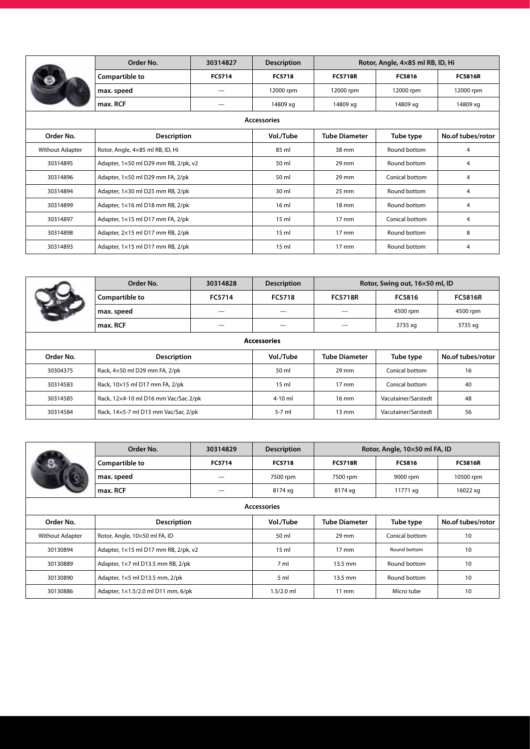|                        | Order No.                            | 30314827 | <b>Description</b> | Rotor, Angle, 4×85 ml RB, ID, Hi |                |                   |  |  |
|------------------------|--------------------------------------|----------|--------------------|----------------------------------|----------------|-------------------|--|--|
|                        | Compartible to                       | FC5714   | <b>FC5718</b>      | <b>FC5718R</b>                   | FC5816         | <b>FC5816R</b>    |  |  |
|                        | max. speed                           |          | 12000 rpm          | 12000 rpm                        | 12000 rpm      | 12000 rpm         |  |  |
|                        | max. RCF                             |          | 14809 xg           | 14809 xg                         | 14809 xg       | 14809 xg          |  |  |
| <b>Accessories</b>     |                                      |          |                    |                                  |                |                   |  |  |
| Order No.              | <b>Description</b>                   |          | Vol./Tube          | <b>Tube Diameter</b>             | Tube type      | No.of tubes/rotor |  |  |
| <b>Without Adapter</b> | Rotor, Angle, 4×85 ml RB, ID, Hi     |          | 85 ml              | 38 mm                            | Round bottom   | 4                 |  |  |
| 30314895               | Adapter, 1×50 ml D29 mm RB, 2/pk, v2 |          | 50 ml              | 29 mm                            | Round bottom   | 4                 |  |  |
| 30314896               | Adapter, 1×50 ml D29 mm FA, 2/pk     |          | 50 ml              | 29 mm                            | Conical bottom | 4                 |  |  |
| 30314894               | Adapter, 1×30 ml D25 mm RB, 2/pk     |          | 30 ml              | $25 \text{ mm}$                  | Round bottom   | 4                 |  |  |
| 30314899               | Adapter, 1×16 ml D18 mm RB, 2/pk     |          | 16 <sub>m</sub>    | 18 mm                            | Round bottom   | 4                 |  |  |
| 30314897               | Adapter, 1×15 ml D17 mm FA, 2/pk     |          | 15 <sub>m</sub>    | 17 mm                            | Conical bottom | 4                 |  |  |
| 30314898               | Adapter, 2×15 ml D17 mm RB, 2/pk     |          | 15 <sub>m</sub>    | 17 mm                            | Round bottom   | 8                 |  |  |
| 30314893               | Adapter, 1×15 ml D17 mm RB, 2/pk     |          | 15 <sub>m</sub>    | 17 mm                            | Round bottom   | 4                 |  |  |

|                    | Order No.                             | 30314828 | <b>Description</b> |                      | Rotor, Swing out, 16×50 ml, ID |                   |  |  |
|--------------------|---------------------------------------|----------|--------------------|----------------------|--------------------------------|-------------------|--|--|
|                    | Compartible to                        | FC5714   | FC5718             | <b>FC5718R</b>       | FC5816                         | <b>FC5816R</b>    |  |  |
|                    | max. speed                            |          |                    |                      | 4500 rpm                       | 4500 rpm          |  |  |
|                    | max. RCF                              |          |                    |                      | 3735 xg                        | 3735 xg           |  |  |
| <b>Accessories</b> |                                       |          |                    |                      |                                |                   |  |  |
| Order No.          | <b>Description</b>                    |          | Vol./Tube          | <b>Tube Diameter</b> | Tube type                      | No.of tubes/rotor |  |  |
| 30304375           | Rack, 4×50 ml D29 mm FA, 2/pk         |          | 50 ml              | $29$ mm              | Conical bottom                 | 16                |  |  |
| 30314583           | Rack, 10×15 ml D17 mm FA, 2/pk        |          | 15 <sub>m</sub>    | $17 \text{ mm}$      | Conical bottom                 | 40                |  |  |
| 30314585           | Rack, 12x4-10 ml D16 mm Vac/Sar, 2/pk |          | $4-10$ ml          | $16 \text{ mm}$      | Vacutainer/Sarstedt            | 48                |  |  |
| 30314584           | Rack, 14×5-7 ml D13 mm Vac/Sar, 2/pk  |          | $5-7$ ml           | $13 \text{ mm}$      | Vacutainer/Sarstedt            | 56                |  |  |

|                        | Order No.                                   | 30314829           | <b>Description</b> | Rotor, Angle, 10×50 ml FA, ID |                |                   |  |  |
|------------------------|---------------------------------------------|--------------------|--------------------|-------------------------------|----------------|-------------------|--|--|
|                        | Compartible to                              | <b>FC5714</b>      | <b>FC5718</b>      | <b>FC5718R</b>                | FC5816         | <b>FC5816R</b>    |  |  |
|                        | max. speed                                  |                    | 7500 rpm           | 7500 rpm                      | 9000 rpm       | 10500 rpm         |  |  |
|                        | max. RCF                                    |                    | 8174 xg            | 8174 xg                       | 11771 xg       | 16022 xg          |  |  |
| <b>Accessories</b>     |                                             |                    |                    |                               |                |                   |  |  |
| Order No.              |                                             | <b>Description</b> |                    | <b>Tube Diameter</b>          | Tube type      | No.of tubes/rotor |  |  |
| <b>Without Adapter</b> | Rotor, Angle, 10×50 ml FA, ID               |                    | 50 ml              | $29$ mm                       | Conical bottom | 10                |  |  |
| 30130894               | Adapter, 1×15 ml D17 mm RB, 2/pk, v2        |                    | 15 <sub>m</sub>    | $17 \text{ mm}$               | Round bottom   | 10                |  |  |
| 30130889               | Adapter, $1\times7$ ml D13.5 mm RB, $2$ /pk |                    | 7 <sub>m</sub>     | 13.5 mm                       | Round bottom   | 10                |  |  |
| 30130890               | Adapter, 1×5 ml D13.5 mm, 2/pk              |                    | 5 <sub>m</sub>     | 13.5 mm                       | Round bottom   | 10                |  |  |
| 30130886               | Adapter, 1×1.5/2.0 ml D11 mm, 6/pk          |                    | $1.5/2.0$ ml       | $11 \text{ mm}$               | Micro tube     | 10                |  |  |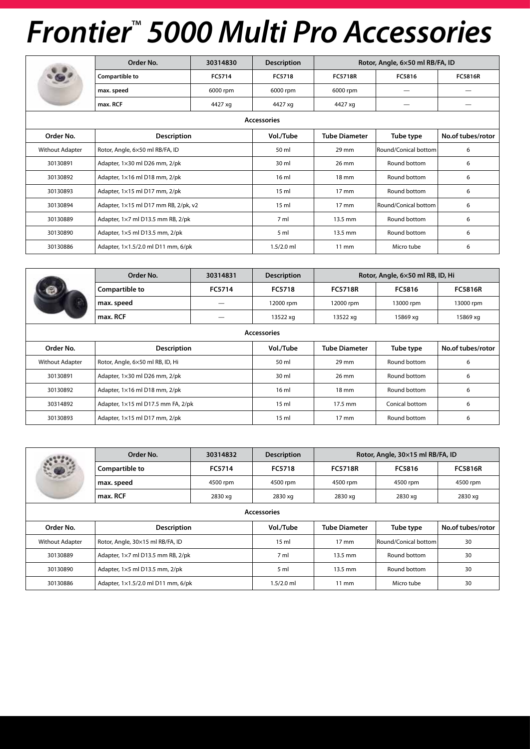|                    | Order No.                            | 30314830 | <b>Description</b> | Rotor, Angle, 6×50 ml RB/FA, ID |                      |                   |  |  |
|--------------------|--------------------------------------|----------|--------------------|---------------------------------|----------------------|-------------------|--|--|
| <b>G</b>           | Compartible to                       | FC5714   | FC5718             | <b>FC5718R</b>                  | FC5816               | <b>FC5816R</b>    |  |  |
|                    | max. speed                           | 6000 rpm | 6000 rpm           | 6000 rpm                        |                      |                   |  |  |
|                    | max. RCF                             | 4427 xg  | 4427 xg            | 4427 xg                         |                      |                   |  |  |
| <b>Accessories</b> |                                      |          |                    |                                 |                      |                   |  |  |
| Order No.          | <b>Description</b>                   |          | Vol./Tube          | <b>Tube Diameter</b>            | Tube type            | No.of tubes/rotor |  |  |
| Without Adapter    | Rotor, Angle, 6×50 ml RB/FA, ID      |          |                    | $29$ mm                         | Round/Conical bottom | 6                 |  |  |
| 30130891           | Adapter, 1×30 ml D26 mm, 2/pk        |          | 30 ml              | 26 mm                           | Round bottom         | 6                 |  |  |
| 30130892           | Adapter, 1×16 ml D18 mm, 2/pk        |          | 16 <sub>m</sub>    | $18 \text{ mm}$                 | Round bottom         | 6                 |  |  |
| 30130893           | Adapter, 1×15 ml D17 mm, 2/pk        |          | 15 <sub>m</sub>    | $17 \text{ mm}$                 | Round bottom         | 6                 |  |  |
| 30130894           | Adapter, 1×15 ml D17 mm RB, 2/pk, v2 |          | 15 <sub>m</sub>    | $17 \text{ mm}$                 | Round/Conical bottom | 6                 |  |  |
| 30130889           | Adapter, 1×7 ml D13.5 mm RB, 2/pk    |          | 7 <sub>m</sub>     | 13.5 mm                         | Round bottom         | 6                 |  |  |
| 30130890           | Adapter, 1×5 ml D13.5 mm, 2/pk       |          | 5 <sub>m</sub>     | 13.5 mm                         | Round bottom         | 6                 |  |  |
| 30130886           | Adapter, 1×1.5/2.0 ml D11 mm, 6/pk   |          | $1.5/2.0$ ml       | $11 \text{ mm}$                 | Micro tube           | 6                 |  |  |

|                        | Order No.                          | 30314831           | <b>Description</b> | Rotor, Angle, 6×50 ml RB, ID, Hi |                |                   |  |  |  |
|------------------------|------------------------------------|--------------------|--------------------|----------------------------------|----------------|-------------------|--|--|--|
|                        | <b>Compartible to</b>              | FC5714             | FC5718             | <b>FC5718R</b>                   | FC5816         | <b>FC5816R</b>    |  |  |  |
|                        | max. speed                         |                    | 12000 rpm          | 12000 rpm                        | 13000 rpm      | 13000 rpm         |  |  |  |
|                        | max. RCF                           |                    | 13522 xg           | 13522 xg                         | 15869 xg       | 15869 xg          |  |  |  |
| <b>Accessories</b>     |                                    |                    |                    |                                  |                |                   |  |  |  |
| Order No.              |                                    | <b>Description</b> |                    | <b>Tube Diameter</b>             | Tube type      | No.of tubes/rotor |  |  |  |
| <b>Without Adapter</b> | Rotor, Angle, 6×50 ml RB, ID, Hi   |                    | 50 ml              | $29$ mm                          | Round bottom   | 6                 |  |  |  |
| 30130891               | Adapter, 1×30 ml D26 mm, 2/pk      |                    | 30 ml              | 26 mm                            | Round bottom   | 6                 |  |  |  |
| 30130892               | Adapter, 1×16 ml D18 mm, 2/pk      |                    | 16 <sub>m</sub>    | $18 \text{ mm}$                  | Round bottom   | 6                 |  |  |  |
| 30314892               | Adapter, 1×15 ml D17.5 mm FA, 2/pk |                    | 15 <sub>m</sub>    | 17.5 mm                          | Conical bottom | 6                 |  |  |  |
| 30130893               | Adapter, 1×15 ml D17 mm, 2/pk      |                    | 15 <sub>m</sub>    | $17 \text{ mm}$                  | Round bottom   | 6                 |  |  |  |

|                        | Order No.                          | 30314832 | <b>Description</b> |                      | Rotor, Angle, 30×15 ml RB/FA, ID |                   |  |  |
|------------------------|------------------------------------|----------|--------------------|----------------------|----------------------------------|-------------------|--|--|
|                        | Compartible to                     | FC5714   | FC5718             | <b>FC5718R</b>       | FC5816                           | <b>FC5816R</b>    |  |  |
|                        | max. speed                         | 4500 rpm | 4500 rpm           | 4500 rpm             | 4500 rpm                         | 4500 rpm          |  |  |
|                        | max. RCF                           | 2830 xg  | 2830 xg            | 2830 xg              | 2830 xg                          | 2830 xg           |  |  |
| <b>Accessories</b>     |                                    |          |                    |                      |                                  |                   |  |  |
| Order No.              | <b>Description</b>                 |          | Vol./Tube          | <b>Tube Diameter</b> | Tube type                        | No.of tubes/rotor |  |  |
| <b>Without Adapter</b> | Rotor, Angle, 30×15 ml RB/FA, ID   |          | 15 <sub>m</sub>    | $17 \text{ mm}$      | Round/Conical bottom             | 30                |  |  |
| 30130889               | Adapter, 1×7 ml D13.5 mm RB, 2/pk  |          | 7 ml               | 13.5 mm              | Round bottom                     | 30                |  |  |
| 30130890               | Adapter, 1×5 ml D13.5 mm, 2/pk     |          | 5 <sub>m</sub>     | 13.5 mm              | Round bottom                     | 30                |  |  |
| 30130886               | Adapter, 1×1.5/2.0 ml D11 mm, 6/pk |          | $1.5/2.0$ ml       | $11 \text{ mm}$      | Micro tube                       | 30                |  |  |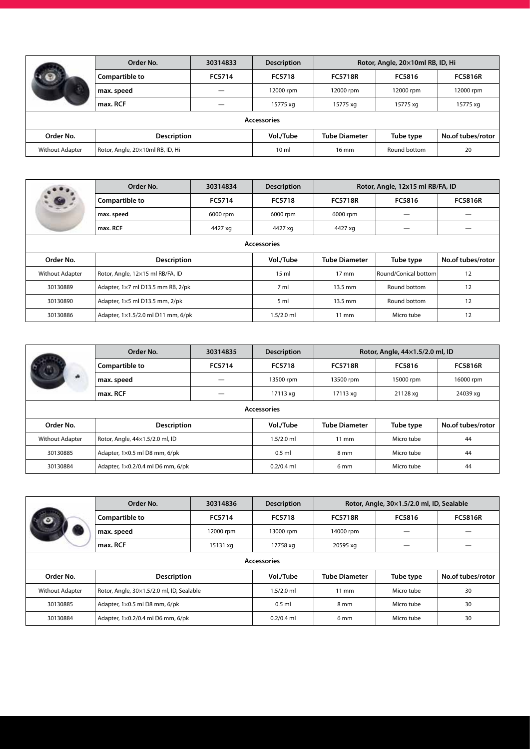|                        | Order No.                        | 30314833 | <b>Description</b> | Rotor, Angle, 20×10ml RB, ID, Hi |              |                   |
|------------------------|----------------------------------|----------|--------------------|----------------------------------|--------------|-------------------|
|                        | Compartible to                   | FC5714   | FC5718             | <b>FC5718R</b>                   | FC5816       | <b>FC5816R</b>    |
|                        | max. speed                       |          | 12000 rpm          | 12000 rpm                        | 12000 rpm    | 12000 rpm         |
|                        | max. RCF                         |          | 15775 xg           | 15775 xg                         | 15775 xg     | 15775 xq          |
|                        |                                  |          | <b>Accessories</b> |                                  |              |                   |
| Order No.              | <b>Description</b>               |          | Vol./Tube          | <b>Tube Diameter</b>             | Tube type    | No.of tubes/rotor |
| <b>Without Adapter</b> | Rotor, Angle, 20×10ml RB, ID, Hi |          | 10 <sub>m</sub>    | $16 \text{ mm}$                  | Round bottom | 20                |

|                        | Order No.                          | 30314834 | <b>Description</b> | Rotor, Angle, 12x15 ml RB/FA, ID |                      |                   |  |  |
|------------------------|------------------------------------|----------|--------------------|----------------------------------|----------------------|-------------------|--|--|
|                        | Compartible to                     | FC5714   | FC5718             | <b>FC5718R</b>                   | FC5816               | <b>FC5816R</b>    |  |  |
|                        | max. speed                         | 6000 rpm | 6000 rpm           | 6000 rpm                         |                      |                   |  |  |
|                        | max. RCF                           | 4427 xg  | 4427 xg            | 4427 xg                          |                      |                   |  |  |
| <b>Accessories</b>     |                                    |          |                    |                                  |                      |                   |  |  |
| Order No.              | <b>Description</b>                 |          | Vol./Tube          | <b>Tube Diameter</b>             | Tube type            | No.of tubes/rotor |  |  |
| <b>Without Adapter</b> | Rotor, Angle, 12×15 ml RB/FA, ID   |          | 15 <sub>m</sub>    | $17 \text{ mm}$                  | Round/Conical bottom | 12                |  |  |
| 30130889               | Adapter, 1×7 ml D13.5 mm RB, 2/pk  |          | 7 ml               | 13.5 mm                          | Round bottom         | 12                |  |  |
| 30130890               | Adapter, 1×5 ml D13.5 mm, 2/pk     |          | 5 <sub>m</sub>     | 13.5 mm                          | Round bottom         | 12                |  |  |
| 30130886               | Adapter, 1×1.5/2.0 ml D11 mm, 6/pk |          | $1.5/2.0$ ml       | $11 \text{ mm}$                  | Micro tube           | 12                |  |  |

|                        | Order No.                         | 30314835 | <b>Description</b> | Rotor, Angle, 44×1.5/2.0 ml, ID |            |                   |  |  |
|------------------------|-----------------------------------|----------|--------------------|---------------------------------|------------|-------------------|--|--|
|                        | Compartible to                    | FC5714   | FC5718             | <b>FC5718R</b>                  | FC5816     | <b>FC5816R</b>    |  |  |
|                        | max. speed                        |          | 13500 rpm          | 13500 rpm                       | 15000 rpm  | 16000 rpm         |  |  |
|                        | max. RCF                          |          | 17113 xq           | 17113 xg                        | 21128 xg   | 24039 xg          |  |  |
| <b>Accessories</b>     |                                   |          |                    |                                 |            |                   |  |  |
| Order No.              | <b>Description</b>                |          | Vol./Tube          | <b>Tube Diameter</b>            | Tube type  | No.of tubes/rotor |  |  |
| <b>Without Adapter</b> | Rotor, Angle, 44×1.5/2.0 ml, ID   |          | $1.5/2.0$ ml       | $11 \text{ mm}$                 | Micro tube | 44                |  |  |
| 30130885               | Adapter, 1×0.5 ml D8 mm, 6/pk     |          | $0.5$ ml           | 8 mm                            | Micro tube | 44                |  |  |
| 30130884               | Adapter, 1×0.2/0.4 ml D6 mm, 6/pk |          | $0.2/0.4$ ml       | 6 <sub>mm</sub>                 | Micro tube | 44                |  |  |

|                        | Order No.                                 | 30314836  | <b>Description</b> | Rotor, Angle, 30×1.5/2.0 ml, ID, Sealable |            |                   |  |  |
|------------------------|-------------------------------------------|-----------|--------------------|-------------------------------------------|------------|-------------------|--|--|
|                        | <b>Compartible to</b>                     | FC5714    | FC5718             | <b>FC5718R</b>                            | FC5816     | <b>FC5816R</b>    |  |  |
|                        | max. speed                                | 12000 rpm | 13000 rpm          | 14000 rpm                                 |            |                   |  |  |
|                        | max. RCF                                  | 15131 xg  | 17758 xg           | 20595 xg                                  |            |                   |  |  |
| <b>Accessories</b>     |                                           |           |                    |                                           |            |                   |  |  |
| Order No.              | <b>Description</b>                        |           | Vol./Tube          | <b>Tube Diameter</b>                      | Tube type  | No.of tubes/rotor |  |  |
| <b>Without Adapter</b> | Rotor, Angle, 30×1.5/2.0 ml, ID, Sealable |           | $1.5/2.0$ ml       | $11 \text{ mm}$                           | Micro tube | 30                |  |  |
| 30130885               | Adapter, 1×0.5 ml D8 mm, 6/pk             |           | $0.5$ ml           | 8 mm                                      | Micro tube | 30                |  |  |
| 30130884               | Adapter, 1×0.2/0.4 ml D6 mm, 6/pk         |           | $0.2/0.4$ ml       | 6 <sub>mm</sub>                           | Micro tube | 30                |  |  |